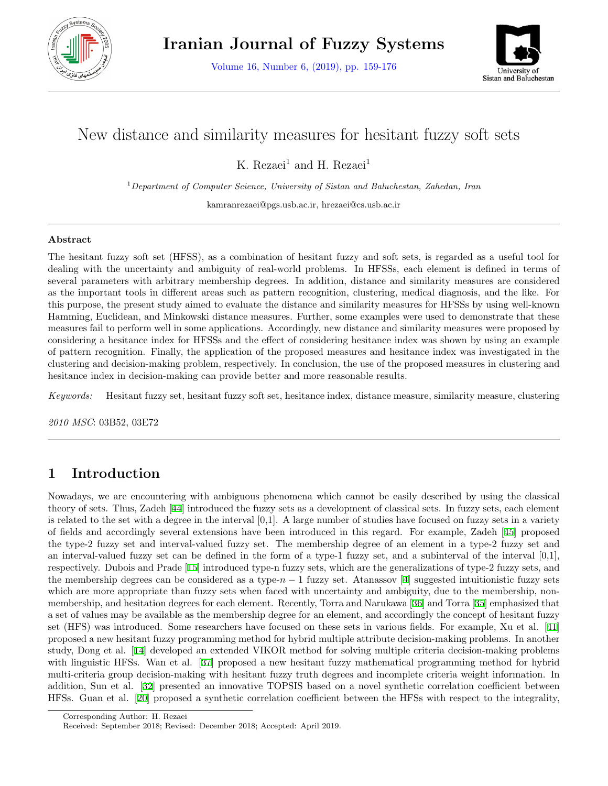

Volume 16, Number 6, (2019), pp. 159-176



# New distance and similarity measures for hesitant fuzzy soft sets

K. Rezaei<sup>1</sup> and H. Rezaei<sup>1</sup>

<sup>1</sup>*Department of Computer Science, University of Sistan and Baluchestan, Zahedan, Iran*

kamranrezaei@pgs.usb.ac.ir, hrezaei@cs.usb.ac.ir

### **Abstract**

The hesitant fuzzy soft set (HFSS), as a combination of hesitant fuzzy and soft sets, is regarded as a useful tool for dealing with the uncertainty and ambiguity of real-world problems. In HFSSs, each element is defined in terms of several parameters with arbitrary membership degrees. In addition, distance and similarity measures are considered as the important tools in different areas such as pattern recognition, clustering, medical diagnosis, and the like. For this purpose, the present study aimed to evaluate the distance and similarity measures for HFSSs by using well-known Hamming, Euclidean, and Minkowski distance measures. Further, some examples were used to demonstrate that these measures fail to perform well in some applications. Accordingly, new distance and similarity measures were proposed by considering a hesitance index for HFSSs and the effect of considering hesitance index was shown by using an example of pattern recognition. Finally, the application of the proposed measures and hesitance index was investigated in the clustering and decision-making problem, respectively. In conclusion, the use of the proposed measures in clustering and hesitance index in decision-making can provide better and more reasonable results.

*Keywords:* Hesitant fuzzy set, hesitant fuzzy soft set, hesitance index, distance measure, similarity measure, clustering

*2010 MSC*: 03B52, 03E72

## **1 Introduction**

Nowadays, we are encountering with ambiguous phenomena which cannot be easily described by using the classical theory of sets. Thus, Zadeh [\[44](#page-17-0)] introduced the fuzzy sets as a development of classical sets. In fuzzy sets, each element is related to the set with a degree in the interval  $[0,1]$ . A large number of studies have focused on fuzzy sets in a variety of fields and accordingly several extensions have been introduced in this regard. For example, Zadeh [[45\]](#page-17-1) proposed the type-2 fuzzy set and interval-valued fuzzy set. The membership degree of an element in a type-2 fuzzy set and an interval-valued fuzzy set can be defined in the form of a type-1 fuzzy set, and a subinterval of the interval  $[0,1]$ , respectively. Dubois and Prade [[15\]](#page-15-0) introduced type-n fuzzy sets, which are the generalizations of type-2 fuzzy sets, and the membership degrees can be considered as a type-*n −* 1 fuzzy set. Atanassov [\[4](#page-15-1)] suggested intuitionistic fuzzy sets which are more appropriate than fuzzy sets when faced with uncertainty and ambiguity, due to the membership, nonmembership, and hesitation degrees for each element. Recently, Torra and Narukawa [\[36](#page-16-0)] and Torra [\[35](#page-16-1)] emphasized that a set of values may be available as the membership degree for an element, and accordingly the concept of hesitant fuzzy set (HFS) was introduced. Some researchers have focused on these sets in various fields. For example, Xu et al. [[41](#page-16-2)] proposed a new hesitant fuzzy programming method for hybrid multiple attribute decision-making problems. In another study, Dong et al. [[14\]](#page-15-2) developed an extended VIKOR method for solving multiple criteria decision-making problems with linguistic HFSs. Wan et al. [[37\]](#page-16-3) proposed a new hesitant fuzzy mathematical programming method for hybrid multi-criteria group decision-making with hesitant fuzzy truth degrees and incomplete criteria weight information. In addition, Sun et al. [[32\]](#page-16-4) presented an innovative TOPSIS based on a novel synthetic correlation coefficient between HFSs. Guan et al. [\[20](#page-16-5)] proposed a synthetic correlation coefficient between the HFSs with respect to the integrality,

Corresponding Author: H. Rezaei

Received: September 2018; Revised: December 2018; Accepted: April 2019.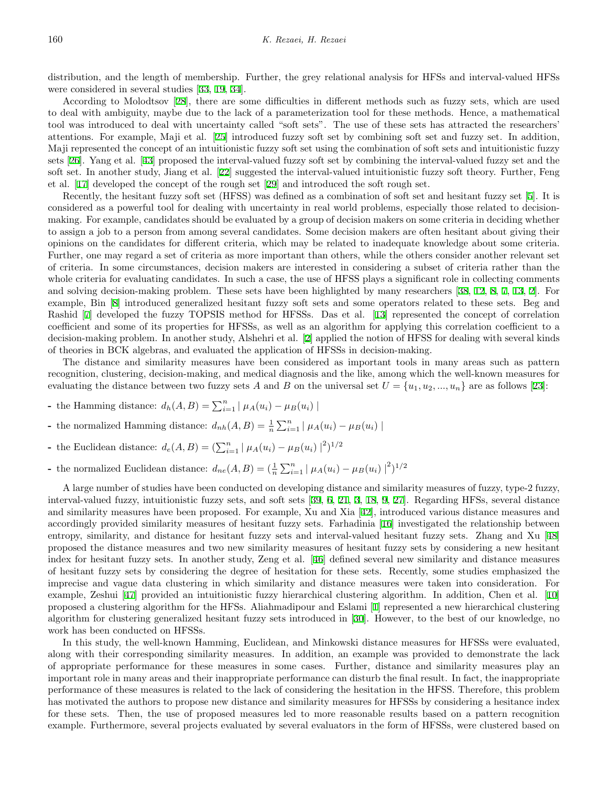distribution, and the length of membership. Further, the grey relational analysis for HFSs and interval-valued HFSs were considered in several studies [\[33](#page-16-6), [19](#page-16-7), [34](#page-16-8)].

According to Molodtsov [\[28](#page-16-9)], there are some difficulties in different methods such as fuzzy sets, which are used to deal with ambiguity, maybe due to the lack of a parameterization tool for these methods. Hence, a mathematical tool was introduced to deal with uncertainty called "soft sets". The use of these sets has attracted the researchers' attentions. For example, Maji et al. [[25\]](#page-16-10) introduced fuzzy soft set by combining soft set and fuzzy set. In addition, Maji represented the concept of an intuitionistic fuzzy soft set using the combination of soft sets and intuitionistic fuzzy sets [\[26](#page-16-11)]. Yang et al. [[43\]](#page-17-2) proposed the interval-valued fuzzy soft set by combining the interval-valued fuzzy set and the soft set. In another study, Jiang et al. [[22](#page-16-12)] suggested the interval-valued intuitionistic fuzzy soft theory. Further, Feng et al. [[17](#page-15-3)] developed the concept of the rough set [[29\]](#page-16-13) and introduced the soft rough set.

Recently, the hesitant fuzzy soft set (HFSS) was defined as a combination of soft set and hesitant fuzzy set [[5\]](#page-15-4). It is considered as a powerful tool for dealing with uncertainty in real world problems, especially those related to decisionmaking. For example, candidates should be evaluated by a group of decision makers on some criteria in deciding whether to assign a job to a person from among several candidates. Some decision makers are often hesitant about giving their opinions on the candidates for different criteria, which may be related to inadequate knowledge about some criteria. Further, one may regard a set of criteria as more important than others, while the others consider another relevant set of criteria. In some circumstances, decision makers are interested in considering a subset of criteria rather than the whole criteria for evaluating candidates. In such a case, the use of HFSS plays a significant role in collecting comments and solving decision-making problem. These sets have been highlighted by many researchers [[38,](#page-16-14) [12](#page-15-5), [8](#page-15-6), [7,](#page-15-7) [13](#page-15-8), [2](#page-15-9)]. For example, Bin [[8\]](#page-15-6) introduced generalized hesitant fuzzy soft sets and some operators related to these sets. Beg and Rashid [\[7](#page-15-7)] developed the fuzzy TOPSIS method for HFSSs. Das et al. [[13\]](#page-15-8) represented the concept of correlation coefficient and some of its properties for HFSSs, as well as an algorithm for applying this correlation coefficient to a decision-making problem. In another study, Alshehri et al. [[2](#page-15-9)] applied the notion of HFSS for dealing with several kinds of theories in BCK algebras, and evaluated the application of HFSSs in decision-making.

The distance and similarity measures have been considered as important tools in many areas such as pattern recognition, clustering, decision-making, and medical diagnosis and the like, among which the well-known measures for evaluating the distance between two fuzzy sets A and B on the universal set  $U = \{u_1, u_2, ..., u_n\}$  are as follows [[23\]](#page-16-15):

- **-** the Hamming distance:  $d_h(A, B) = \sum_{i=1}^n | \mu_A(u_i) \mu_B(u_i) |$
- **-** the normalized Hamming distance:  $d_{nh}(A, B) = \frac{1}{n} \sum_{i=1}^{n} | \mu_A(u_i) \mu_B(u_i) |$
- **-** the Euclidean distance:  $d_e(A, B) = (\sum_{i=1}^n | \mu_A(u_i) \mu_B(u_i) |^2)^{1/2}$
- **-** the normalized Euclidean distance:  $d_{ne}(A, B) = (\frac{1}{n} \sum_{i=1}^{n} | \mu_A(u_i) \mu_B(u_i) |^2)^{1/2}$

A large number of studies have been conducted on developing distance and similarity measures of fuzzy, type-2 fuzzy, interval-valued fuzzy, intuitionistic fuzzy sets, and soft sets [\[39](#page-16-16), [6,](#page-15-10) [21](#page-16-17), [3](#page-15-11), [18,](#page-15-12) [9](#page-15-13), [27](#page-16-18)]. Regarding HFSs, several distance and similarity measures have been proposed. For example, Xu and Xia [[42\]](#page-17-3), introduced various distance measures and accordingly provided similarity measures of hesitant fuzzy sets. Farhadinia [[16\]](#page-15-14) investigated the relationship between entropy, similarity, and distance for hesitant fuzzy sets and interval-valued hesitant fuzzy sets. Zhang and Xu [[48](#page-17-4)] proposed the distance measures and two new similarity measures of hesitant fuzzy sets by considering a new hesitant index for hesitant fuzzy sets. In another study, Zeng et al. [[46\]](#page-17-5) defined several new similarity and distance measures of hesitant fuzzy sets by considering the degree of hesitation for these sets. Recently, some studies emphasized the imprecise and vague data clustering in which similarity and distance measures were taken into consideration. For example, Zeshui [[47\]](#page-17-6) provided an intuitionistic fuzzy hierarchical clustering algorithm. In addition, Chen et al. [[10](#page-15-15)] proposed a clustering algorithm for the HFSs. Aliahmadipour and Eslami [[1\]](#page-15-16) represented a new hierarchical clustering algorithm for clustering generalized hesitant fuzzy sets introduced in [\[30](#page-16-19)]. However, to the best of our knowledge, no work has been conducted on HFSSs.

In this study, the well-known Hamming, Euclidean, and Minkowski distance measures for HFSSs were evaluated, along with their corresponding similarity measures. In addition, an example was provided to demonstrate the lack of appropriate performance for these measures in some cases. Further, distance and similarity measures play an important role in many areas and their inappropriate performance can disturb the final result. In fact, the inappropriate performance of these measures is related to the lack of considering the hesitation in the HFSS. Therefore, this problem has motivated the authors to propose new distance and similarity measures for HFSSs by considering a hesitance index for these sets. Then, the use of proposed measures led to more reasonable results based on a pattern recognition example. Furthermore, several projects evaluated by several evaluators in the form of HFSSs, were clustered based on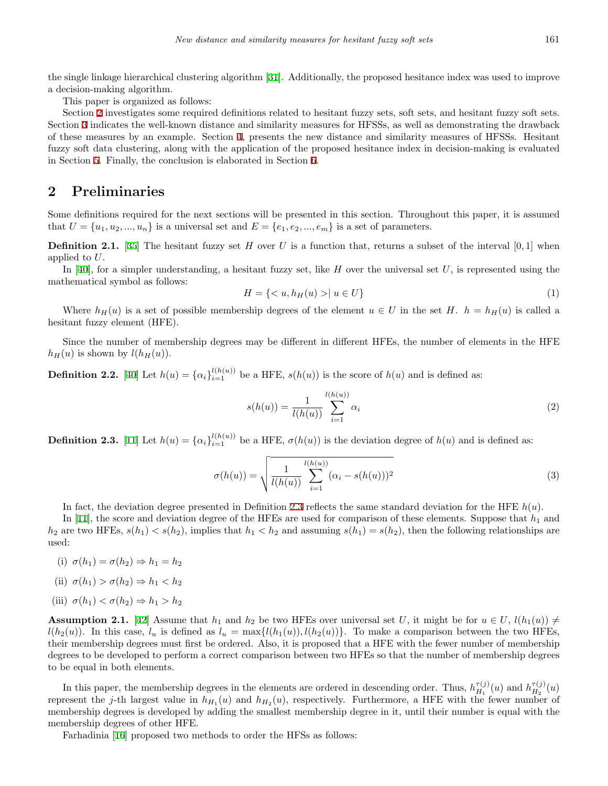the single linkage hierarchical clustering algorithm [\[31](#page-16-20)]. Additionally, the proposed hesitance index was used to improve a decision-making algorithm.

This paper is organized as follows:

Section [2](#page-2-0) investigates some required definitions related to hesitant fuzzy sets, soft sets, and hesitant fuzzy soft sets. Section [3](#page-3-0) indicates the well-known distance and similarity measures for HFSSs, as well as demonstrating the drawback of these measures by an example. Section [4](#page-5-0), presents the new distance and similarity measures of HFSSs. Hesitant fuzzy soft data clustering, along with the application of the proposed hesitance index in decision-making is evaluated in Section [5.](#page-9-0) Finally, the conclusion is elaborated in Section [6.](#page-14-0)

## <span id="page-2-0"></span>**2 Preliminaries**

Some definitions required for the next sections will be presented in this section. Throughout this paper, it is assumed that  $U = \{u_1, u_2, \ldots, u_n\}$  is a universal set and  $E = \{e_1, e_2, \ldots, e_m\}$  is a set of parameters.

**Definition 2.1.** [\[35](#page-16-1)] The hesitant fuzzy set *H* over *U* is a function that, returns a subset of the interval  $[0,1]$  when applied to *U*.

In [[40\]](#page-16-21), for a simpler understanding, a hesitant fuzzy set, like *H* over the universal set *U*, is represented using the mathematical symbol as follows:

$$
H = \{ \langle u, h_H(u) \rangle \mid u \in U \} \tag{1}
$$

Where  $h_H(u)$  is a set of possible membership degrees of the element  $u \in U$  in the set *H*.  $h = h_H(u)$  is called a hesitant fuzzy element (HFE).

Since the number of membership degrees may be different in different HFEs, the number of elements in the HFE  $h_H(u)$  is shown by  $l(h_H(u))$ .

**Definition 2.2.** [\[40](#page-16-21)] Let  $h(u) = {\alpha_i}_{i=1}^{l(h(u))}$  be a HFE,  $s(h(u))$  is the score of  $h(u)$  and is defined as:

$$
s(h(u)) = \frac{1}{l(h(u))} \sum_{i=1}^{l(h(u))} \alpha_i
$$
 (2)

<span id="page-2-1"></span>**Definition 2.3.** [\[11](#page-15-17)] Let  $h(u) = {\alpha_i}_{i=1}^{l(h(u))}$  be a HFE,  $\sigma(h(u))$  is the deviation degree of  $h(u)$  and is defined as:

$$
\sigma(h(u)) = \sqrt{\frac{1}{l(h(u))} \sum_{i=1}^{l(h(u))} (\alpha_i - s(h(u)))^2}
$$
\n(3)

In fact, the deviation degree presented in Definition [2.3](#page-2-1) reflects the same standard deviation for the HFE *h*(*u*).

In [\[11](#page-15-17)], the score and deviation degree of the HFEs are used for comparison of these elements. Suppose that  $h_1$  and  $h_2$  are two HFEs,  $s(h_1) < s(h_2)$ , implies that  $h_1 < h_2$  and assuming  $s(h_1) = s(h_2)$ , then the following relationships are used:

- (i)  $\sigma(h_1) = \sigma(h_2) \Rightarrow h_1 = h_2$
- (ii)  $\sigma(h_1) > \sigma(h_2) \Rightarrow h_1 < h_2$
- (iii)  $\sigma(h_1) < \sigma(h_2) \Rightarrow h_1 > h_2$

**Assumption 2.1.** [[42\]](#page-17-3) Assume that  $h_1$  and  $h_2$  be two HFEs over universal set *U*, it might be for  $u \in U$ ,  $l(h_1(u)) \neq$  $l(h_2(u))$ . In this case,  $l_u$  is defined as  $l_u = \max\{l(h_1(u)), l(h_2(u))\}$ . To make a comparison between the two HFEs, their membership degrees must first be ordered. Also, it is proposed that a HFE with the fewer number of membership degrees to be developed to perform a correct comparison between two HFEs so that the number of membership degrees to be equal in both elements.

In this paper, the membership degrees in the elements are ordered in descending order. Thus,  $h_{H}^{\tau(j)}$  $\eta_{H_1}^{\tau(j)}(u)$  and  $h_{H_2}^{\tau(j)}$  $\frac{H^{(1)}(u)}{H_2}(u)$ represent the *j*-th largest value in  $h_{H_1}(u)$  and  $h_{H_2}(u)$ , respectively. Furthermore, a HFE with the fewer number of membership degrees is developed by adding the smallest membership degree in it, until their number is equal with the membership degrees of other HFE.

Farhadinia [[16\]](#page-15-14) proposed two methods to order the HFSs as follows: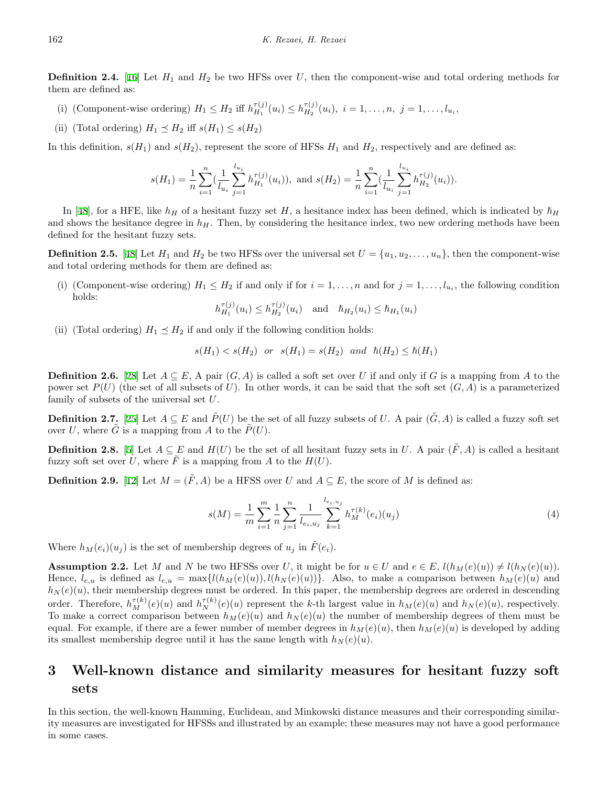**Definition 2.4.** [\[16](#page-15-14)] Let  $H_1$  and  $H_2$  be two HFSs over *U*, then the component-wise and total ordering methods for them are defined as:

- (i) (Component-wise ordering)  $H_1 \n\t\le H_2$  iff  $h_{H_1}^{\tau(j)}$  $h_{H_1}^{\tau(j)}(u_i) \leq h_{H_2}^{\tau(j)}$  $H_2^{(1)}(u_i), i = 1, \ldots, n, j = 1, \ldots, l_{u_i},$
- (ii) (Total ordering)  $H_1 \preceq H_2$  iff  $s(H_1) \leq s(H_2)$

In this definition,  $s(H_1)$  and  $s(H_2)$ , represent the score of HFSs  $H_1$  and  $H_2$ , respectively and are defined as:

$$
s(H_1) = \frac{1}{n} \sum_{i=1}^n \left(\frac{1}{l_{u_i}} \sum_{j=1}^{l_{u_i}} h_{H_1}^{\tau(j)}(u_i)\right), \text{ and } s(H_2) = \frac{1}{n} \sum_{i=1}^n \left(\frac{1}{l_{u_i}} \sum_{j=1}^{l_{u_i}} h_{H_2}^{\tau(j)}(u_i)\right).
$$

In [\[48](#page-17-4)], for a HFE, like  $h_H$  of a hesitant fuzzy set *H*, a hesitance index has been defined, which is indicated by  $\hbar_H$ and shows the hesitance degree in  $h<sub>H</sub>$ . Then, by considering the hesitance index, two new ordering methods have been defined for the hesitant fuzzy sets.

<span id="page-3-2"></span>**Definition 2.5.** [\[48](#page-17-4)] Let  $H_1$  and  $H_2$  be two HFSs over the universal set  $U = \{u_1, u_2, \ldots, u_n\}$ , then the component-wise and total ordering methods for them are defined as:

(i) (Component-wise ordering)  $H_1 \leq H_2$  if and only if for  $i = 1, \ldots, n$  and for  $j = 1, \ldots, l_{u_i}$ , the following condition holds:

$$
h_{H_1}^{\tau(j)}(u_i) \le h_{H_2}^{\tau(j)}(u_i) \quad \text{and} \quad \hbar_{H_2}(u_i) \le \hbar_{H_1}(u_i)
$$

(ii) (Total ordering)  $H_1 \preceq H_2$  if and only if the following condition holds:

$$
s(H_1) < s(H_2)
$$
 or  $s(H_1) = s(H_2)$  and  $\hbar(H_2) \leq \hbar(H_1)$ 

**Definition 2.6.** [\[28](#page-16-9)] Let  $A \subseteq E$ , A pair  $(G, A)$  is called a soft set over *U* if and only if *G* is a mapping from *A* to the power set  $P(U)$  (the set of all subsets of U). In other words, it can be said that the soft set  $(G, A)$  is a parameterized family of subsets of the universal set *U*.

**Definition 2.7.** [\[25](#page-16-10)] Let  $A \subseteq E$  and  $\tilde{P}(U)$  be the set of all fuzzy subsets of *U*. A pair  $(\tilde{G}, A)$  is called a fuzzy soft set over *U*, where  $\tilde{G}$  is a mapping from *A* to the  $\tilde{P}(U)$ .

**Definition 2.8.** [\[5](#page-15-4)] Let  $A \subseteq E$  and  $H(U)$  be the set of all hesitant fuzzy sets in *U*. A pair  $(F, A)$  is called a hesitant fuzzy soft set over U, where  $\tilde{F}$  is a mapping from A to the  $H(U)$ .

**Definition 2.9.** [\[12](#page-15-5)] Let  $M = (\tilde{F}, A)$  be a HFSS over *U* and  $A \subseteq E$ , the score of *M* is defined as:

$$
s(M) = \frac{1}{m} \sum_{i=1}^{m} \frac{1}{n} \sum_{j=1}^{n} \frac{1}{l_{e_i, u_j}} \sum_{k=1}^{l_{e_i, u_j}} h_M^{\tau(k)}(e_i)(u_j)
$$
(4)

Where  $h_M(e_i)(u_j)$  is the set of membership degrees of  $u_j$  in  $F(e_i)$ .

**Assumption 2.2.** Let M and N be two HFSSs over U, it might be for  $u \in U$  and  $e \in E$ ,  $l(h_M(e)(u)) \neq l(h_N(e)(u))$ . Hence,  $l_{e,u}$  is defined as  $l_{e,u} = \max\{l(h_M(e)(u)), l(h_N(e)(u))\}.$  Also, to make a comparison between  $h_M(e)(u)$  and  $h_N(e)(u)$ , their membership degrees must be ordered. In this paper, the membership degrees are ordered in descending order. Therefore,  $h_M^{\tau(k)}(e)(u)$  and  $h_N^{\tau(k)}(e)(u)$  represent the k-th largest value in  $h_M(e)(u)$  and  $h_N(e)(u)$ , respectively. To make a correct comparison between  $h_M(e)(u)$  and  $h_N(e)(u)$  the number of membership degrees of them must be equal. For example, if there are a fewer number of member degrees in  $h_M(e)(u)$ , then  $h_M(e)(u)$  is developed by adding its smallest membership degree until it has the same length with  $h_N(e)(u)$ .

# <span id="page-3-0"></span>**3 Well-known distance and similarity measures for hesitant fuzzy soft sets**

<span id="page-3-1"></span>In this section, the well-known Hamming, Euclidean, and Minkowski distance measures and their corresponding similarity measures are investigated for HFSSs and illustrated by an example; these measures may not have a good performance in some cases.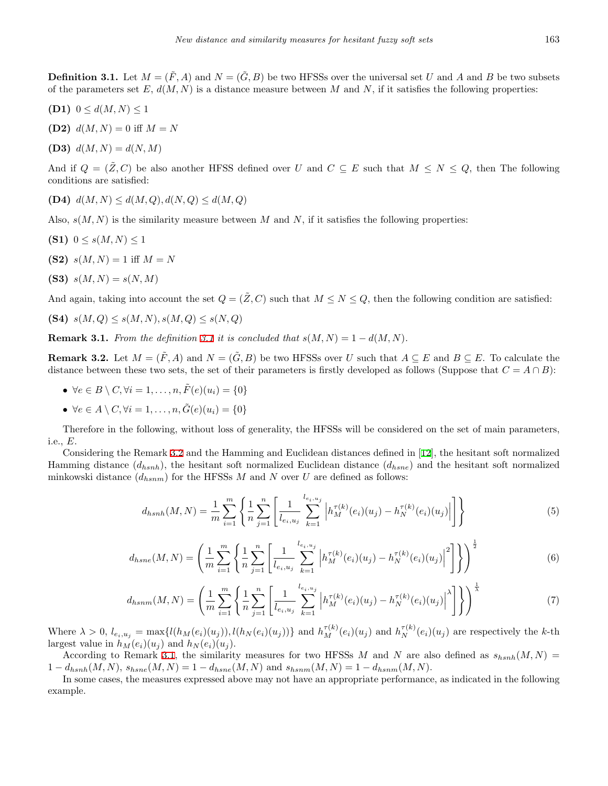**Definition 3.1.** Let  $M = (\tilde{F}, A)$  and  $N = (\tilde{G}, B)$  be two HFSSs over the universal set *U* and *A* and *B* be two subsets of the parameters set  $E$ ,  $d(M, N)$  is a distance measure between M and N, if it satisfies the following properties:

- **(D1)**  $0 \leq d(M, N) \leq 1$
- **(D2)**  $d(M, N) = 0$  iff  $M = N$
- **(D3)**  $d(M, N) = d(N, M)$

And if  $Q = (\tilde{Z}, C)$  be also another HFSS defined over *U* and  $C \subseteq E$  such that  $M \leq N \leq Q$ , then The following conditions are satisfied:

**(D4)** *d*(*M, N*) *≤ d*(*M, Q*)*, d*(*N, Q*) *≤ d*(*M, Q*)

Also,  $s(M, N)$  is the similarity measure between M and N, if it satisfies the following properties:

- **(S1)**  $0 \le s(M, N) \le 1$
- **(S2)**  $s(M, N) = 1$  iff  $M = N$
- **(S3)**  $s(M, N) = s(N, M)$

And again, taking into account the set  $Q = (\tilde{Z}, C)$  such that  $M \leq N \leq Q$ , then the following condition are satisfied:

(S4) 
$$
s(M,Q) \leq s(M,N), s(M,Q) \leq s(N,Q)
$$

<span id="page-4-1"></span>**Remark [3.1](#page-3-1).** *From the definition* 3.1 *it is concluded that*  $s(M, N) = 1 - d(M, N)$ .

<span id="page-4-0"></span>**Remark 3.2.** Let  $M = (\tilde{F}, A)$  and  $N = (\tilde{G}, B)$  be two HFSSs over *U* such that  $A \subseteq E$  and  $B \subseteq E$ . To calculate the distance between these two sets, the set of their parameters is firstly developed as follows (Suppose that  $C = A \cap B$ ):

- $\bullet \ \forall e \in B \setminus C, \forall i = 1, \ldots, n, \tilde{F}(e)(u_i) = \{0\}$
- *•*  $\forall e \in A \setminus C, \forall i = 1, ..., n, \tilde{G}(e)(u_i) = \{0\}$

Therefore in the following, without loss of generality, the HFSSs will be considered on the set of main parameters, i.e., *E*.

Considering the Remark [3.2](#page-4-0) and the Hamming and Euclidean distances defined in [\[12](#page-15-5)], the hesitant soft normalized Hamming distance (*dhsnh*), the hesitant soft normalized Euclidean distance (*dhsne*) and the hesitant soft normalized minkowski distance  $(d_{hsnm})$  for the HFSSs M and N over U are defined as follows:

$$
d_{hsnh}(M,N) = \frac{1}{m} \sum_{i=1}^{m} \left\{ \frac{1}{n} \sum_{j=1}^{n} \left[ \frac{1}{l_{e_i,u_j}} \sum_{k=1}^{l_{e_i,u_j}} \left| h_M^{\tau(k)}(e_i)(u_j) - h_N^{\tau(k)}(e_i)(u_j) \right| \right] \right\}
$$
(5)

$$
d_{hsne}(M,N) = \left(\frac{1}{m} \sum_{i=1}^{m} \left\{ \frac{1}{n} \sum_{j=1}^{n} \left[ \frac{1}{l_{e_i, u_j}} \sum_{k=1}^{l_{e_i, u_j}} \left| h_M^{\tau(k)}(e_i)(u_j) - h_N^{\tau(k)}(e_i)(u_j) \right|^2 \right] \right\} \right)^{\frac{1}{2}}
$$
(6)

$$
d_{hsnm}(M,N) = \left(\frac{1}{m} \sum_{i=1}^{m} \left\{ \frac{1}{n} \sum_{j=1}^{n} \left[ \frac{1}{l_{e_i,u_j}} \sum_{k=1}^{l_{e_i,u_j}} \left| h_M^{\tau(k)}(e_i)(u_j) - h_N^{\tau(k)}(e_i)(u_j) \right|^{\lambda} \right] \right\} \right)^{\frac{1}{\lambda}}
$$
(7)

Where  $\lambda > 0$ ,  $l_{e_i, u_j} = \max\{l(h_M(e_i)(u_j)), l(h_N(e_i)(u_j))\}$  and  $h_M^{\tau(k)}(e_i)(u_j)$  and  $h_N^{\tau(k)}(e_i)(u_j)$  are respectively the k-th largest value in  $h_M(e_i)(u_i)$  and  $h_N(e_i)(u_i)$ .

According to Remark [3.1](#page-4-1), the similarity measures for two HFSSs *M* and *N* are also defined as  $s_{hsnh}(M, N)$  =  $1 - d_{hsnh}(M, N), s_{hsne}(M, N) = 1 - d_{hsne}(M, N)$  and  $s_{hsnm}(M, N) = 1 - d_{hsnm}(M, N)$ .

<span id="page-4-2"></span>In some cases, the measures expressed above may not have an appropriate performance, as indicated in the following example.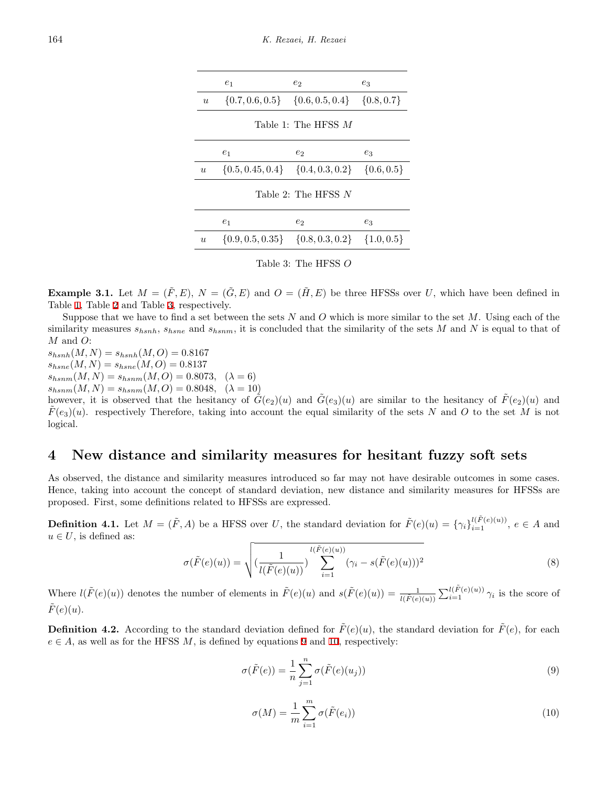<span id="page-5-1"></span>

|                  | e <sub>1</sub>                                          | $e_2$                                                  | $e_3$ |
|------------------|---------------------------------------------------------|--------------------------------------------------------|-------|
| $\boldsymbol{u}$ |                                                         | $\{0.7, 0.6, 0.5\}$ $\{0.6, 0.5, 0.4\}$ $\{0.8, 0.7\}$ |       |
|                  |                                                         | Table 1: The HFSS $M$                                  |       |
|                  | $e_1$                                                   | $e_2$                                                  | $e_3$ |
| $\boldsymbol{u}$ | $\{0.5, 0.45, 0.4\}$ $\{0.4, 0.3, 0.2\}$ $\{0.6, 0.5\}$ |                                                        |       |
|                  |                                                         | Table 2: The HFSS $N$                                  |       |
|                  | e <sub>1</sub>                                          | $e_2$                                                  | $e_3$ |
| $\boldsymbol{u}$ | $\{0.9, 0.5, 0.35\}$ $\{0.8, 0.3, 0.2\}$ $\{1.0, 0.5\}$ |                                                        |       |

<span id="page-5-3"></span><span id="page-5-2"></span>Table 3: The HFSS *O*

**Example 3.1.** Let  $M = (\tilde{F}, E)$ ,  $N = (\tilde{G}, E)$  and  $O = (\tilde{H}, E)$  be three HFSSs over *U*, which have been defined in Table [1,](#page-5-1) Table [2](#page-5-2) and Table [3](#page-5-3), respectively.

Suppose that we have to find a set between the sets *N* and *O* which is more similar to the set *M*. Using each of the similarity measures *shsnh*, *shsne* and *shsnm*, it is concluded that the similarity of the sets *M* and *N* is equal to that of *M* and *O*:

 $s_{hsnh}(M, N) = s_{hsnh}(M, O) = 0.8167$  $s_{hme}(M, N) = s_{hme}(M, O) = 0.8137$  $s_{hsnm}(M, N) = s_{hsnm}(M, O) = 0.8073, \quad (\lambda = 6)$ 

 $s_{hsnm}(M, N) = s_{hsnm}(M, O) = 0.8048, \quad (\lambda = 10)$ 

however, it is observed that the hesitancy of  $\tilde{G}(e_2)(u)$  and  $\tilde{G}(e_3)(u)$  are similar to the hesitancy of  $\tilde{F}(e_2)(u)$  and  $F(e_3)(u)$ . respectively Therefore, taking into account the equal similarity of the sets *N* and *O* to the set *M* is not logical.

## <span id="page-5-0"></span>**4 New distance and similarity measures for hesitant fuzzy soft sets**

As observed, the distance and similarity measures introduced so far may not have desirable outcomes in some cases. Hence, taking into account the concept of standard deviation, new distance and similarity measures for HFSSs are proposed. First, some definitions related to HFSSs are expressed.

<span id="page-5-6"></span>**Definition 4.1.** Let  $M = (\tilde{F}, A)$  be a HFSS over U, the standard deviation for  $\tilde{F}(e)(u) = \{\gamma_i\}_{i=1}^{l(\tilde{F}(e)(u))}, e \in A$  and  $u \in U$ , is defined as:

$$
\sigma(\tilde{F}(e)(u)) = \sqrt{\left(\frac{1}{l(\tilde{F}(e)(u))}\right)^{l(\tilde{F}(e)(u))}\sum_{i=1}^{l(\tilde{F}(e)(u))}(\gamma_i - s(\tilde{F}(e)(u)))^2}
$$
\n(8)

Where  $l(\tilde{F}(e)(u))$  denotes the number of elements in  $\tilde{F}(e)(u)$  and  $s(\tilde{F}(e)(u)) = \frac{1}{l(\tilde{F}(e)(u))} \sum_{i=1}^{l(\tilde{F}(e)(u))} \gamma_i$  is the score of  $\tilde{F}(e)(u)$ .

<span id="page-5-5"></span>**Definition 4.2.** According to the standard deviation defined for  $\tilde{F}(e)(u)$ , the standard deviation for  $\tilde{F}(e)$ , for each  $e \in A$ , as well as for the HFSS *M*, is defined by equations [9](#page-5-4) and [10](#page-5-5), respectively:

$$
\sigma(\tilde{F}(e)) = \frac{1}{n} \sum_{j=1}^{n} \sigma(\tilde{F}(e)(u_j))
$$
\n(9)

<span id="page-5-4"></span>
$$
\sigma(M) = \frac{1}{m} \sum_{i=1}^{m} \sigma(\tilde{F}(e_i))
$$
\n(10)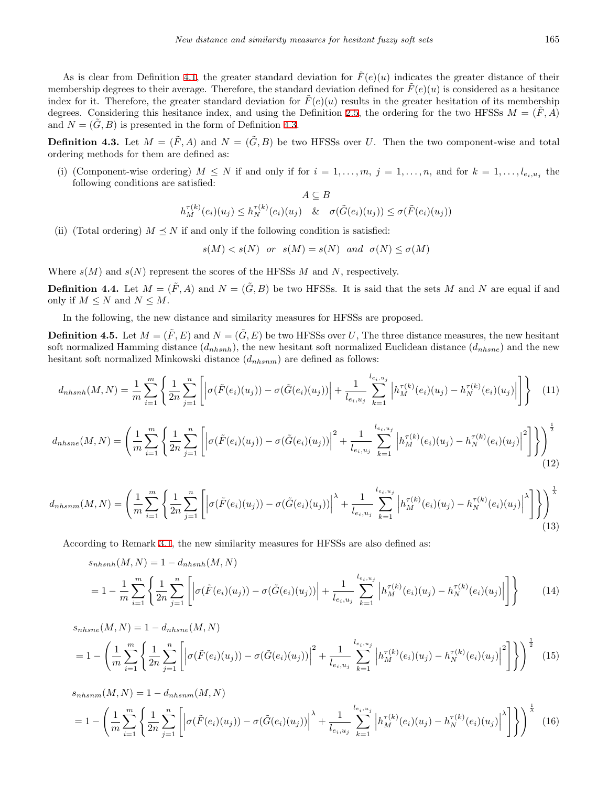As is clear from Definition [4.1,](#page-5-6) the greater standard deviation for  $\tilde{F}(e)(u)$  indicates the greater distance of their membership degrees to their average. Therefore, the standard deviation defined for  $\hat{F}(e)(u)$  is considered as a hesitance index for it. Therefore, the greater standard deviation for  $\hat{F}(e)(u)$  results in the greater hesitation of its membership degrees. Considering this hesitance index, and using the Definition [2.5](#page-3-2), the ordering for the two HFSSs  $M = (F, A)$ and  $N = (G, B)$  is presented in the form of Definition [4.3.](#page-6-0)

<span id="page-6-0"></span>**Definition 4.3.** Let  $M = (\tilde{F}, A)$  and  $N = (\tilde{G}, B)$  be two HFSSs over *U*. Then the two component-wise and total ordering methods for them are defined as:

(i) (Component-wise ordering)  $M \leq N$  if and only if for  $i = 1, \ldots, m, j = 1, \ldots, n$ , and for  $k = 1, \ldots, l_{e_i, u_j}$  the following conditions are satisfied: *A ⊆ B*

$$
A \subseteq B
$$
  

$$
h_M^{\tau(k)}(e_i)(u_j) \le h_N^{\tau(k)}(e_i)(u_j) \& \sigma(\tilde{G}(e_i)(u_j)) \le \sigma(\tilde{F}(e_i)(u_j))
$$

(ii) (Total ordering)  $M \leq N$  if and only if the following condition is satisfied:

$$
s(M) < s(N)
$$
 or  $s(M) = s(N)$  and  $\sigma(N) \leq \sigma(M)$ 

Where  $s(M)$  and  $s(N)$  represent the scores of the HFSSs  $M$  and  $N$ , respectively.

<span id="page-6-1"></span>**Definition 4.4.** Let  $M = (\tilde{F}, A)$  and  $N = (\tilde{G}, B)$  be two HFSSs. It is said that the sets M and N are equal if and only if  $M \leq N$  and  $N \leq M$ .

In the following, the new distance and similarity measures for HFSSs are proposed.

**Definition 4.5.** Let  $M = (\tilde{F}, E)$  and  $N = (\tilde{G}, E)$  be two HFSSs over *U*, The three distance measures, the new hesitant soft normalized Hamming distance  $(d_{nhsnh})$ , the new hesitant soft normalized Euclidean distance  $(d_{nhsne})$  and the new hesitant soft normalized Minkowski distance (*dnhsnm*) are defined as follows:

$$
d_{nhsinh}(M,N) = \frac{1}{m} \sum_{i=1}^{m} \left\{ \frac{1}{2n} \sum_{j=1}^{n} \left[ \left| \sigma(\tilde{F}(e_i)(u_j)) - \sigma(\tilde{G}(e_i)(u_j)) \right| + \frac{1}{l_{e_i, u_j}} \sum_{k=1}^{l_{e_i, u_j}} \left| h_M^{\tau(k)}(e_i)(u_j) - h_N^{\tau(k)}(e_i)(u_j) \right| \right] \right\}
$$
(11)

$$
d_{nhsne}(M,N) = \left(\frac{1}{m} \sum_{i=1}^{m} \left\{ \frac{1}{2n} \sum_{j=1}^{n} \left[ \left| \sigma(\tilde{F}(e_i)(u_j)) - \sigma(\tilde{G}(e_i)(u_j)) \right|^2 + \frac{1}{l_{e_i, u_j}} \sum_{k=1}^{l_{e_i, u_j}} \left| h_M^{\tau(k)}(e_i)(u_j) - h_N^{\tau(k)}(e_i)(u_j) \right|^2 \right] \right\} \right)^{\frac{1}{2}}
$$
(12)

$$
d_{nhsnm}(M,N) = \left(\frac{1}{m} \sum_{i=1}^{m} \left\{ \frac{1}{2n} \sum_{j=1}^{n} \left[ \left| \sigma(\tilde{F}(e_i)(u_j)) - \sigma(\tilde{G}(e_i)(u_j)) \right|^{\lambda} + \frac{1}{l_{e_i, u_j}} \sum_{k=1}^{l_{e_i, u_j}} \left| h_M^{\tau(k)}(e_i)(u_j) - h_N^{\tau(k)}(e_i)(u_j) \right|^{\lambda} \right] \right\} \right)^{\frac{1}{\lambda}} (13)
$$

According to Remark [3.1,](#page-4-1) the new similarity measures for HFSSs are also defined as:

$$
s_{n h s n h}(M, N) = 1 - d_{n h s n h}(M, N)
$$
  
= 
$$
1 - \frac{1}{m} \sum_{i=1}^{m} \left\{ \frac{1}{2n} \sum_{j=1}^{n} \left[ \left| \sigma(\tilde{F}(e_i)(u_j)) - \sigma(\tilde{G}(e_i)(u_j)) \right| + \frac{1}{l_{e_i, u_j}} \sum_{k=1}^{l_{e_i, u_j}} \left| h_M^{\tau(k)}(e_i)(u_j) - h_N^{\tau(k)}(e_i)(u_j) \right| \right] \right\}
$$
(14)

$$
s_{nhsne}(M,N) = 1 - d_{nhsne}(M,N)
$$
  
=  $1 - \left( \frac{1}{m} \sum_{i=1}^{m} \left\{ \frac{1}{2n} \sum_{j=1}^{n} \left[ \left| \sigma(\tilde{F}(e_i)(u_j)) - \sigma(\tilde{G}(e_i)(u_j)) \right|^2 + \frac{1}{l_{e_i,u_j}} \sum_{k=1}^{l_{e_i,u_j}} \left| h_M^{\tau(k)}(e_i)(u_j) - h_N^{\tau(k)}(e_i)(u_j) \right|^2 \right] \right\} \right)^{\frac{1}{2}}$ (15)

$$
s_{nbsnm}(M,N) = 1 - d_{nbsnm}(M,N)
$$
  
= 
$$
1 - \left(\frac{1}{m} \sum_{i=1}^{m} \left\{ \frac{1}{2n} \sum_{j=1}^{n} \left[ \left| \sigma(\tilde{F}(e_i)(u_j)) - \sigma(\tilde{G}(e_i)(u_j)) \right|^{\lambda} + \frac{1}{l_{e_i, u_j}} \sum_{k=1}^{l_{e_i, u_j}} \left| h_M^{\tau(k)}(e_i)(u_j) - h_N^{\tau(k)}(e_i)(u_j) \right|^{\lambda} \right] \right\} \right)
$$
(16)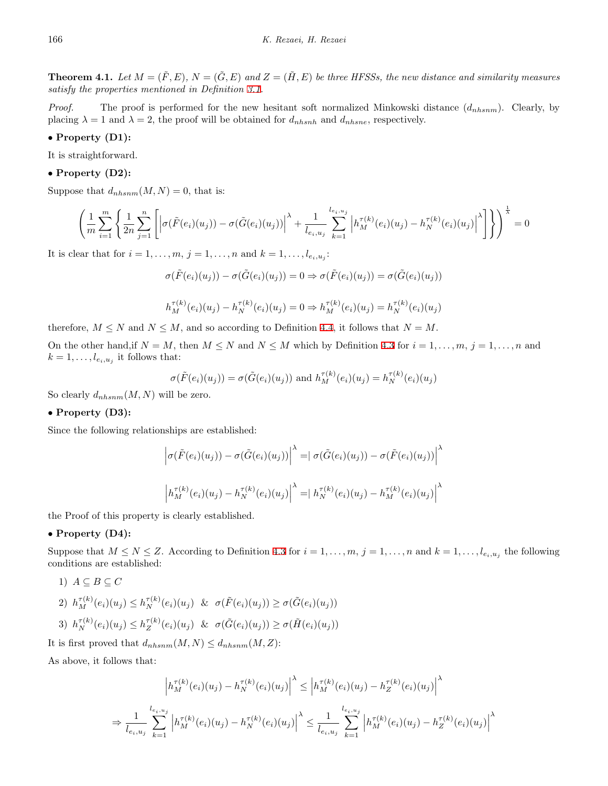**Theorem 4.1.** Let  $M = (\tilde{F}, E), N = (\tilde{G}, E)$  and  $Z = (\tilde{H}, E)$  be three HFSSs, the new distance and similarity measures *satisfy the properties mentioned in Definition [3.1](#page-3-1).*

*Proof.* The proof is performed for the new hesitant soft normalized Minkowski distance (*dnhsnm*). Clearly, by placing  $\lambda = 1$  and  $\lambda = 2$ , the proof will be obtained for  $d_{n h s n h}$  and  $d_{n h s n e}$ , respectively.

#### *•* **Property (D1):**

It is straightforward.

#### *•* **Property (D2):**

Suppose that  $d_{nhsnm}(M, N) = 0$ , that is:

$$
\left(\frac{1}{m}\sum_{i=1}^{m}\left\{\frac{1}{2n}\sum_{j=1}^{n}\left[\left|\sigma(\tilde{F}(e_i)(u_j)) - \sigma(\tilde{G}(e_i)(u_j))\right|^{\lambda} + \frac{1}{l_{e_i,u_j}}\sum_{k=1}^{l_{e_i,u_j}}\left|h_M^{\tau(k)}(e_i)(u_j) - h_N^{\tau(k)}(e_i)(u_j)\right|^{\lambda}\right]\right\} \right)^{\frac{1}{\lambda}} = 0
$$

It is clear that for  $i = 1, ..., m, j = 1, ..., n$  and  $k = 1, ..., l_{e_i, u_j}$ :

$$
\sigma(\tilde{F}(e_i)(u_j)) - \sigma(\tilde{G}(e_i)(u_j)) = 0 \Rightarrow \sigma(\tilde{F}(e_i)(u_j)) = \sigma(\tilde{G}(e_i)(u_j))
$$

$$
h_M^{\tau(k)}(e_i)(u_j) - h_N^{\tau(k)}(e_i)(u_j) = 0 \Rightarrow h_M^{\tau(k)}(e_i)(u_j) = h_N^{\tau(k)}(e_i)(u_j)
$$

therefore,  $M \leq N$  and  $N \leq M$ , and so according to Definition [4.4,](#page-6-1) it follows that  $N = M$ .

On the other hand, if  $N = M$ , then  $M \leq N$  and  $N \leq M$  which by Definition [4.3](#page-6-0) for  $i = 1, \ldots, m$ ,  $j = 1, \ldots, n$  and  $k = 1, \ldots, l_{e_i, u_j}$  it follows that:

$$
\sigma(\tilde{F}(e_i)(u_j)) = \sigma(\tilde{G}(e_i)(u_j)) \text{ and } h_M^{\tau(k)}(e_i)(u_j) = h_N^{\tau(k)}(e_i)(u_j)
$$

So clearly *dnhsnm*(*M, N*) will be zero.

#### *•* **Property (D3):**

Since the following relationships are established:

$$
\left| \sigma(\tilde{F}(e_i)(u_j)) - \sigma(\tilde{G}(e_i)(u_j)) \right|^{\lambda} = \left| \sigma(\tilde{G}(e_i)(u_j)) - \sigma(\tilde{F}(e_i)(u_j)) \right|^{\lambda}
$$

$$
\left| h_M^{\tau(k)}(e_i)(u_j) - h_N^{\tau(k)}(e_i)(u_j) \right|^{\lambda} = \left| h_N^{\tau(k)}(e_i)(u_j) - h_M^{\tau(k)}(e_i)(u_j) \right|^{\lambda}
$$

the Proof of this property is clearly established.

#### *•* **Property (D4):**

Suppose that  $M \leq N \leq Z$ . According to Definition [4.3](#page-6-0) for  $i = 1, \ldots, m, j = 1, \ldots, n$  and  $k = 1, \ldots, l_{e_i, u_j}$  the following conditions are established:

1) 
$$
A \subseteq B \subseteq C
$$
  
\n2)  $h_M^{\tau(k)}(e_i)(u_j) \le h_N^{\tau(k)}(e_i)(u_j) \& \sigma(\tilde{F}(e_i)(u_j)) \ge \sigma(\tilde{G}(e_i)(u_j))$   
\n3)  $h_N^{\tau(k)}(e_i)(u_j) \le h_Z^{\tau(k)}(e_i)(u_j) \& \sigma(\tilde{G}(e_i)(u_j)) \ge \sigma(\tilde{H}(e_i)(u_j))$ 

It is first proved that  $d_{nhsnm}(M, N) \leq d_{nhsnm}(M, Z)$ :

As above, it follows that:

$$
\left| h_M^{\tau(k)}(e_i)(u_j) - h_N^{\tau(k)}(e_i)(u_j) \right|^{\lambda} \leq \left| h_M^{\tau(k)}(e_i)(u_j) - h_Z^{\tau(k)}(e_i)(u_j) \right|^{\lambda}
$$
  

$$
\Rightarrow \frac{1}{l_{e_i, u_j}} \sum_{k=1}^{l_{e_i, u_j}} \left| h_M^{\tau(k)}(e_i)(u_j) - h_N^{\tau(k)}(e_i)(u_j) \right|^{\lambda} \leq \frac{1}{l_{e_i, u_j}} \sum_{k=1}^{l_{e_i, u_j}} \left| h_M^{\tau(k)}(e_i)(u_j) - h_Z^{\tau(k)}(e_i)(u_j) \right|^{\lambda}
$$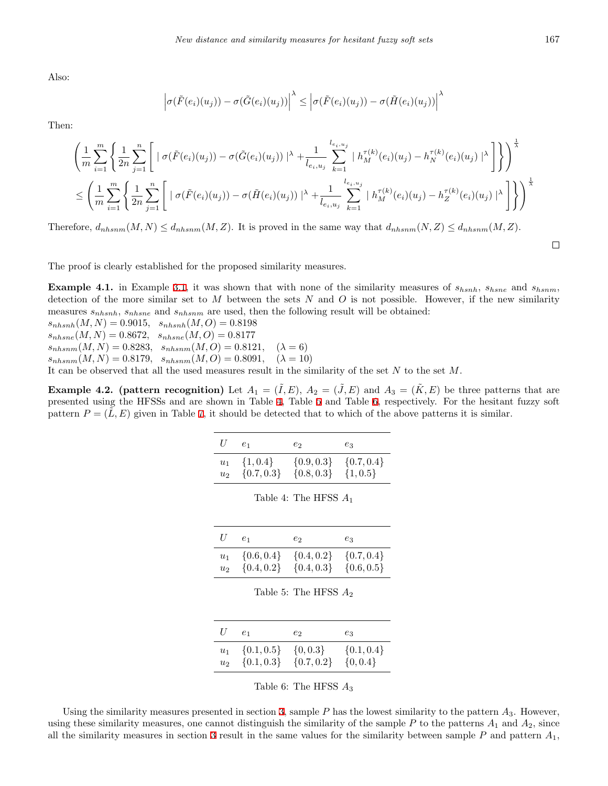Also:

$$
\left|\sigma(\tilde{F}(e_i)(u_j)) - \sigma(\tilde{G}(e_i)(u_j))\right|^{\lambda} \leq \left|\sigma(\tilde{F}(e_i)(u_j)) - \sigma(\tilde{H}(e_i)(u_j))\right|^{\lambda}
$$

Then:

$$
\left(\frac{1}{m}\sum_{i=1}^{m}\left\{\frac{1}{2n}\sum_{j=1}^{n}\left[ \mid \sigma(\tilde{F}(e_i)(u_j)) - \sigma(\tilde{G}(e_i)(u_j)) \mid^{\lambda} + \frac{1}{l_{e_i,u_j}}\sum_{k=1}^{l_{e_i,u_j}} \mid h_M^{\tau(k)}(e_i)(u_j) - h_N^{\tau(k)}(e_i)(u_j) \mid^{\lambda} \right] \right\}\right)^{\frac{1}{\lambda}}
$$
\n
$$
\leq \left(\frac{1}{m}\sum_{i=1}^{m}\left\{\frac{1}{2n}\sum_{j=1}^{n}\left[ \mid \sigma(\tilde{F}(e_i)(u_j)) - \sigma(\tilde{H}(e_i)(u_j)) \mid^{\lambda} + \frac{1}{l_{e_i,u_j}}\sum_{k=1}^{l_{e_i,u_j}} \mid h_M^{\tau(k)}(e_i)(u_j) - h_Z^{\tau(k)}(e_i)(u_j) \mid^{\lambda} \right] \right\}\right)^{\frac{1}{\lambda}}
$$

Therefore,  $d_{nhsnm}(M, N) \leq d_{nhsnm}(M, Z)$ . It is proved in the same way that  $d_{nhsnm}(N, Z) \leq d_{nhsnm}(M, Z)$ .

 $\Box$ 

The proof is clearly established for the proposed similarity measures.

**Example 4.1.** in Example [3.1](#page-4-2), it was shown that with none of the similarity measures of *shsnh*, *shsne* and *shsnm*, detection of the more similar set to *M* between the sets *N* and *O* is not possible. However, if the new similarity measures *snhsnh*, *snhsne* and *snhsnm* are used, then the following result will be obtained:

 $s_{n\,hsh}(M, N) = 0.9015, s_{n\,hsh}(M, O) = 0.8198$ 

 $s_{nhsne}(M, N) = 0.8672, s_{nhsne}(M, O) = 0.8177$ 

 $s_{nhsnm}(M, N) = 0.8283, s_{nhsnm}(M, O) = 0.8121, \quad (\lambda = 6)$ 

 $s_{nhsnm}(M, N) = 0.8179, s_{nhsnm}(M, O) = 0.8091, \quad (\lambda = 10)$ 

It can be observed that all the used measures result in the similarity of the set *N* to the set *M*.

**Example 4.2.** (pattern recognition) Let  $A_1 = (\tilde{I}, E), A_2 = (\tilde{J}, E)$  and  $A_3 = (\tilde{K}, E)$  be three patterns that are presented using the HFSSs and are shown in Table [4,](#page-8-0) Table [5](#page-8-1) and Table [6,](#page-8-2) respectively. For the hesitant fuzzy soft pattern  $P = (\tilde{L}, E)$  given in Table [7,](#page-9-1) it should be detected that to which of the above patterns it is similar.

| $U^-$ | $e_1$                                                     | $e_2$          | $e_3$        |
|-------|-----------------------------------------------------------|----------------|--------------|
| $u_2$ | $u_1 \{1,0.4\} \{0.9,0.3\} \{0.7,0.4\}$<br>$\{0.7, 0.3\}$ | $\{0.8, 0.3\}$ | $\{1, 0.5\}$ |

| U     | $e_1$                    | $e_2$          | $e_3$          |
|-------|--------------------------|----------------|----------------|
| $u_2$ | $u_1 \quad \{0.6, 0.4\}$ | $\{0.4, 0.2\}$ | $\{0.7, 0.4\}$ |
|       | $\{0.4, 0.2\}$           | $\{0.4, 0.3\}$ | $\{0.6, 0.5\}$ |

<span id="page-8-0"></span>Table 4: The HFSS *A*<sup>1</sup>

<span id="page-8-1"></span>

| U     | e <sub>1</sub>                                              | $e_2$ and $e_2$ | $e_3$        |
|-------|-------------------------------------------------------------|-----------------|--------------|
| $u_2$ | $u_1 \{0.1, 0.5\} \{0.0.3\} \{0.1, 0.4\}$<br>$\{0.1, 0.3\}$ | $\{0.7, 0.2\}$  | $\{0, 0.4\}$ |

<span id="page-8-2"></span>Table 6: The HFSS *A*<sup>3</sup>

Using the similarity measures presented in section [3](#page-3-0), sample *P* has the lowest similarity to the pattern *A*3. However, using these similarity measures, one cannot distinguish the similarity of the sample  $P$  to the patterns  $A_1$  and  $A_2$ , since all the similarity measures in section [3](#page-3-0) result in the same values for the similarity between sample  $P$  and pattern  $A_1$ ,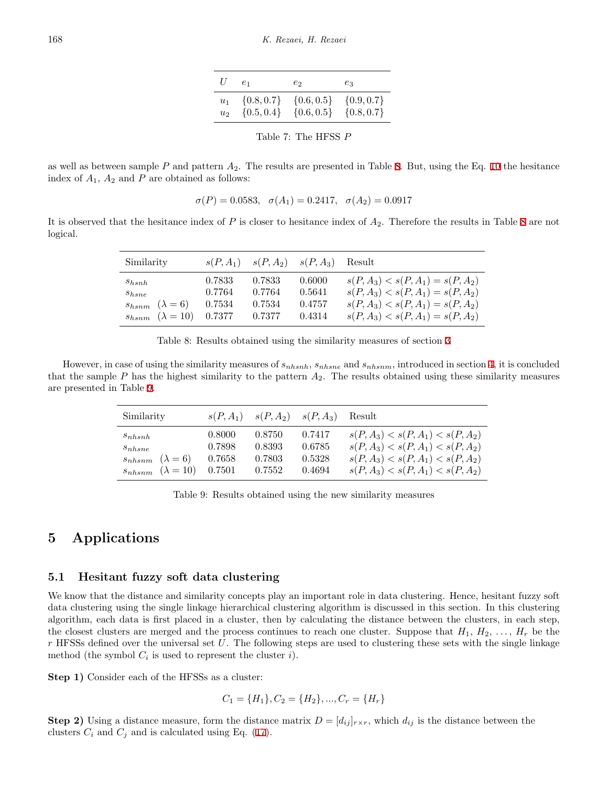| U              | $e_1$          | $e_2$          | $e_3$          |
|----------------|----------------|----------------|----------------|
| $u_1$          | $\{0.8, 0.7\}$ | $\{0.6, 0.5\}$ | $\{0.9, 0.7\}$ |
| u <sub>2</sub> | $\{0.5, 0.4\}$ | $\{0.6, 0.5\}$ | $\{0.8, 0.7\}$ |

<span id="page-9-2"></span><span id="page-9-1"></span>Table 7: The HFSS *P*

as well as between sample *P* and pattern *A*2. The results are presented in Table [8.](#page-9-2) But, using the Eq. [10](#page-5-5) the hesitance index of  $A_1$ ,  $A_2$  and  $P$  are obtained as follows:

$$
\sigma(P) = 0.0583
$$
,  $\sigma(A_1) = 0.2417$ ,  $\sigma(A_2) = 0.0917$ 

It is observed that the hesitance index of *P* is closer to hesitance index of *A*2. Therefore the results in Table [8](#page-9-2) are not logical.

| Similarity                                                              |                  |                  | $s(P, A_1)$ $s(P, A_2)$ $s(P, A_3)$ Result |                                                                            |
|-------------------------------------------------------------------------|------------------|------------------|--------------------------------------------|----------------------------------------------------------------------------|
| $s_{hsnh}$<br>$s_{hsne}$                                                | 0.7833<br>0.7764 | 0.7833<br>0.7764 | 0.6000<br>0.5641                           | $s(P, A_3) < s(P, A_1) = s(P, A_2)$<br>$s(P, A_3) < s(P, A_1) = s(P, A_2)$ |
| $s_{hsnm}$ $(\lambda = 6)$<br>$s_{hsnm}$ $(\lambda = 10)$ 0.7377 0.7377 | 0.7534           | 0.7534           | 0.4757<br>0.4314                           | $s(P, A_3) < s(P, A_1) = s(P, A_2)$<br>$s(P, A_3) < s(P, A_1) = s(P, A_2)$ |

However, in case of using the similarity measures of *snhsnh*, *snhsne* and *snhsnm*, introduced in section [4](#page-5-0), it is concluded that the sample *P* has the highest similarity to the pattern *A*2. The results obtained using these similarity measures are presented in Table [9](#page-9-3).

| Similarity                   |        | $s(P, A_1)$ $s(P, A_2)$ $s(P, A_3)$ |        | Result                              |
|------------------------------|--------|-------------------------------------|--------|-------------------------------------|
| $s_{n hsnh}$                 | 0.8000 | 0.8750                              | 0.7417 | $s(P, A_3) < s(P, A_1) < s(P, A_2)$ |
| $s_{nhsne}$                  | 0.7898 | 0.8393                              | 0.6785 | $s(P, A_3) < s(P, A_1) < s(P, A_2)$ |
| $s_{nhsnm}$ $(\lambda = 6)$  | 0.7658 | 0.7803                              | 0.5328 | $s(P, A_3) < s(P, A_1) < s(P, A_2)$ |
| $s_{nhsnm}$ $(\lambda = 10)$ | 0.7501 | 0.7552                              | 0.4694 | $s(P, A_3) < s(P, A_1) < s(P, A_2)$ |

<span id="page-9-3"></span>Table 9: Results obtained using the new similarity measures

## <span id="page-9-0"></span>**5 Applications**

#### **5.1 Hesitant fuzzy soft data clustering**

We know that the distance and similarity concepts play an important role in data clustering. Hence, hesitant fuzzy soft data clustering using the single linkage hierarchical clustering algorithm is discussed in this section. In this clustering algorithm, each data is first placed in a cluster, then by calculating the distance between the clusters, in each step, the closest clusters are merged and the process continues to reach one cluster. Suppose that  $H_1, H_2, \ldots, H_r$  be the *r* HFSSs defined over the universal set *U*. The following steps are used to clustering these sets with the single linkage method (the symbol  $C_i$  is used to represent the cluster *i*).

**Step 1)** Consider each of the HFSSs as a cluster:

 $C_1 = \{H_1\}, C_2 = \{H_2\}, \ldots, C_r = \{H_r\}$ 

**Step 2)** Using a distance measure, form the distance matrix  $D = [d_{ij}]_{r \times r}$ , which  $d_{ij}$  is the distance between the clusters  $C_i$  and  $C_j$  and is calculated using Eq. ([17\)](#page-10-0).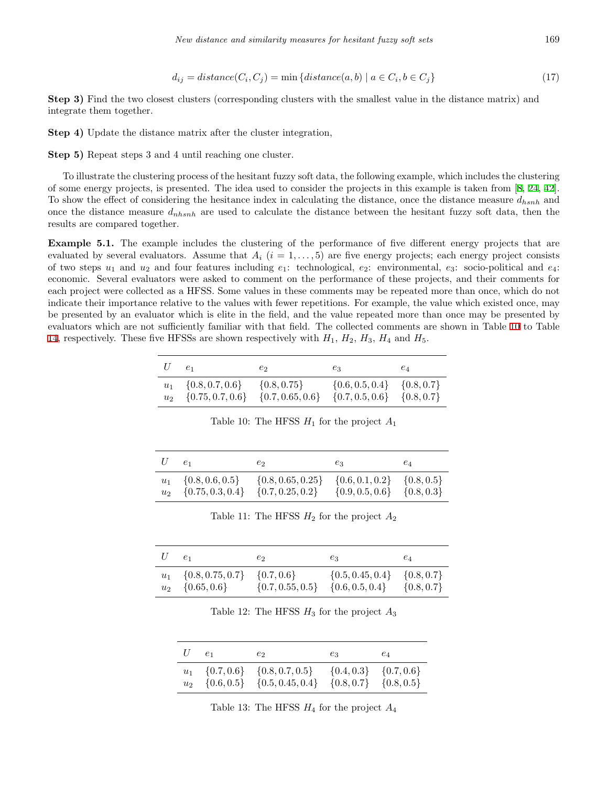<span id="page-10-0"></span>
$$
d_{ij} = distance(C_i, C_j) = \min \{distance(a, b) \mid a \in C_i, b \in C_j\}
$$
\n
$$
(17)
$$

**Step 3)** Find the two closest clusters (corresponding clusters with the smallest value in the distance matrix) and integrate them together.

**Step 4)** Update the distance matrix after the cluster integration,

**Step 5)** Repeat steps 3 and 4 until reaching one cluster.

To illustrate the clustering process of the hesitant fuzzy soft data, the following example, which includes the clustering of some energy projects, is presented. The idea used to consider the projects in this example is taken from [[8](#page-15-6), [24](#page-16-22), [42](#page-17-3)]. To show the effect of considering the hesitance index in calculating the distance, once the distance measure *dhsnh* and once the distance measure *dnhsnh* are used to calculate the distance between the hesitant fuzzy soft data, then the results are compared together.

**Example 5.1.** The example includes the clustering of the performance of five different energy projects that are evaluated by several evaluators. Assume that  $A_i$  ( $i = 1, \ldots, 5$ ) are five energy projects; each energy project consists of two steps  $u_1$  and  $u_2$  and four features including  $e_1$ : technological,  $e_2$ : environmental,  $e_3$ : socio-political and  $e_4$ : economic. Several evaluators were asked to comment on the performance of these projects, and their comments for each project were collected as a HFSS. Some values in these comments may be repeated more than once, which do not indicate their importance relative to the values with fewer repetitions. For example, the value which existed once, may be presented by an evaluator which is elite in the field, and the value repeated more than once may be presented by evaluators which are not sufficiently familiar with that field. The collected comments are shown in Table [10](#page-10-1) to Table [14](#page-11-0), respectively. These five HFSSs are shown respectively with  $H_1$ ,  $H_2$ ,  $H_3$ ,  $H_4$  and  $H_5$ .

| $U \quad e_1$ |                                                   | $e_2$                                                              | $e_3$                              | $e_4$ |
|---------------|---------------------------------------------------|--------------------------------------------------------------------|------------------------------------|-------|
|               | $u_1 \quad \{0.8, 0.7, 0.6\} \quad \{0.8, 0.75\}$ | $u_2$ {0.75, 0.7, 0.6} {0.7, 0.65, 0.6} {0.7, 0.5, 0.6} {0.8, 0.7} | $\{0.6, 0.5, 0.4\}$ $\{0.8, 0.7\}$ |       |

<span id="page-10-1"></span>Table 10: The HFSS *H*<sup>1</sup> for the project *A*<sup>1</sup>

|                | e <sub>1</sub>       | $e_2$                 | $e_3$               | $e_4$          |
|----------------|----------------------|-----------------------|---------------------|----------------|
| $u_1$          | $\{0.8, 0.6, 0.5\}$  | $\{0.8, 0.65, 0.25\}$ | $\{0.6, 0.1, 0.2\}$ | $\{0.8, 0.5\}$ |
| u <sub>2</sub> | $\{0.75, 0.3, 0.4\}$ | $\{0.7, 0.25, 0.2\}$  | $\{0.9, 0.5, 0.6\}$ | $\{0.8, 0.3\}$ |

Table 11: The HFSS *H*<sup>2</sup> for the project *A*<sup>2</sup>

| $e_1$                          | $e_2$                | $e_3$                | $e_4$          |
|--------------------------------|----------------------|----------------------|----------------|
| $u_1 \quad \{0.8, 0.75, 0.7\}$ | $\{0.7, 0.6\}$       | $\{0.5, 0.45, 0.4\}$ | $\{0.8, 0.7\}$ |
| $u_2 \quad \{0.65, 0.6\}$      | $\{0.7, 0.55, 0.5\}$ | $\{0.6, 0.5, 0.4\}$  | $\{0.8, 0.7\}$ |

Table 12: The HFSS  $H_3$  for the project  $A_3$ 

| $U \quad e_1$ | $e_2$                                                                                       | $e_3$                         | $e_4$ |
|---------------|---------------------------------------------------------------------------------------------|-------------------------------|-------|
|               | $u_1$ {0.7, 0.6} {0.8, 0.7, 0.5}<br>$u_2$ {0.6, 0.5} {0.5, 0.45, 0.4} {0.8, 0.7} {0.8, 0.5} | $\{0.4, 0.3\}$ $\{0.7, 0.6\}$ |       |

Table 13: The HFSS *H*<sup>4</sup> for the project *A*<sup>4</sup>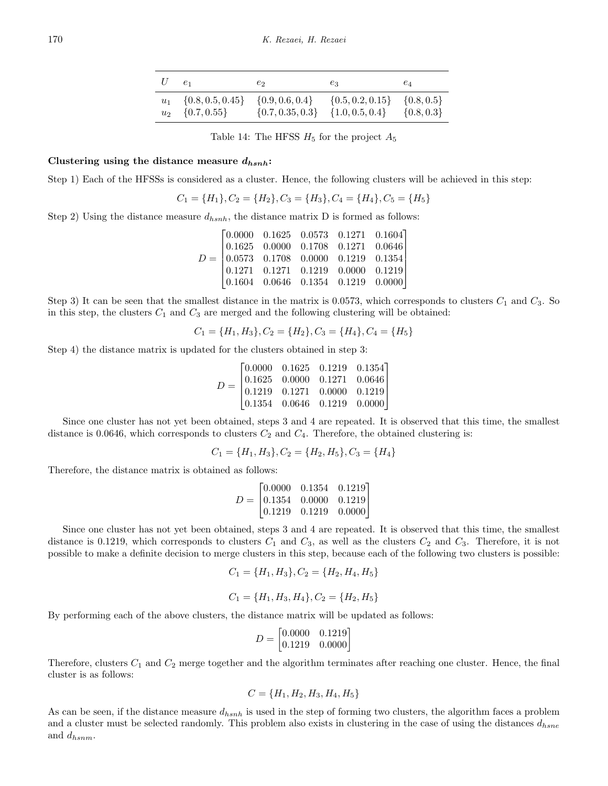| $U \quad e_1$ |                                                                                     | $e_2$ | $e_3$                                                                           | $e_4$          |
|---------------|-------------------------------------------------------------------------------------|-------|---------------------------------------------------------------------------------|----------------|
|               | $u_1 \quad \{0.8, 0.5, 0.45\} \quad \{0.9, 0.6, 0.4\}$<br>$u_2 \quad \{0.7, 0.55\}$ |       | $\{0.5, 0.2, 0.15\}$ $\{0.8, 0.5\}$<br>$\{0.7, 0.35, 0.3\}$ $\{1.0, 0.5, 0.4\}$ | $\{0.8, 0.3\}$ |

<span id="page-11-0"></span>Table 14: The HFSS  $H_5$  for the project  $A_5$ 

#### **Clustering using the distance measure** *dhsnh***:**

Step 1) Each of the HFSSs is considered as a cluster. Hence, the following clusters will be achieved in this step:

$$
C_1 = \{H_1\}, C_2 = \{H_2\}, C_3 = \{H_3\}, C_4 = \{H_4\}, C_5 = \{H_5\}
$$

Step 2) Using the distance measure  $d_{hsnh}$ , the distance matrix D is formed as follows:

|  | $D = \begin{bmatrix} 0.0000 & 0.1625 & 0.0573 & 0.1271 & 0.1604 \\ 0.1625 & 0.0000 & 0.1708 & 0.1271 & 0.0646 \\ 0.0573 & 0.1708 & 0.0000 & 0.1219 & 0.1354 \\ 0.1271 & 0.1271 & 0.1219 & 0.0000 & 0.1219 \\ 0.1604 & 0.0646 & 0.1354 & 0.1219 & 0.0000 \end{bmatrix}$ |  |
|--|------------------------------------------------------------------------------------------------------------------------------------------------------------------------------------------------------------------------------------------------------------------------|--|

Step 3) It can be seen that the smallest distance in the matrix is 0.0573, which corresponds to clusters  $C_1$  and  $C_3$ . So in this step, the clusters  $C_1$  and  $C_3$  are merged and the following clustering will be obtained:

$$
C_1 = \{H_1, H_3\}, C_2 = \{H_2\}, C_3 = \{H_4\}, C_4 = \{H_5\}
$$

Step 4) the distance matrix is updated for the clusters obtained in step 3:

$$
D = \begin{bmatrix} 0.0000 & 0.1625 & 0.1219 & 0.1354 \\ 0.1625 & 0.0000 & 0.1271 & 0.0646 \\ 0.1219 & 0.1271 & 0.0000 & 0.1219 \\ 0.1354 & 0.0646 & 0.1219 & 0.0000 \end{bmatrix}
$$

Since one cluster has not yet been obtained, steps 3 and 4 are repeated. It is observed that this time, the smallest distance is 0.0646, which corresponds to clusters  $C_2$  and  $C_4$ . Therefore, the obtained clustering is:

$$
C_1 = \{H_1, H_3\}, C_2 = \{H_2, H_5\}, C_3 = \{H_4\}
$$

Therefore, the distance matrix is obtained as follows:

$$
D = \begin{bmatrix} 0.0000 & 0.1354 & 0.1219 \\ 0.1354 & 0.0000 & 0.1219 \\ 0.1219 & 0.1219 & 0.0000 \end{bmatrix}
$$

Since one cluster has not yet been obtained, steps 3 and 4 are repeated. It is observed that this time, the smallest distance is 0.1219, which corresponds to clusters  $C_1$  and  $C_3$ , as well as the clusters  $C_2$  and  $C_3$ . Therefore, it is not possible to make a definite decision to merge clusters in this step, because each of the following two clusters is possible:

$$
C_1 = \{H_1, H_3\}, C_2 = \{H_2, H_4, H_5\}
$$

$$
C_1 = \{H_1, H_3, H_4\}, C_2 = \{H_2, H_5\}
$$

By performing each of the above clusters, the distance matrix will be updated as follows:

$$
D = \begin{bmatrix} 0.0000 & 0.1219 \\ 0.1219 & 0.0000 \end{bmatrix}
$$

Therefore, clusters *C*<sup>1</sup> and *C*<sup>2</sup> merge together and the algorithm terminates after reaching one cluster. Hence, the final cluster is as follows:

$$
C = \{H_1, H_2, H_3, H_4, H_5\}
$$

As can be seen, if the distance measure *dhsnh* is used in the step of forming two clusters, the algorithm faces a problem and a cluster must be selected randomly. This problem also exists in clustering in the case of using the distances *dhsne* and *dhsnm*.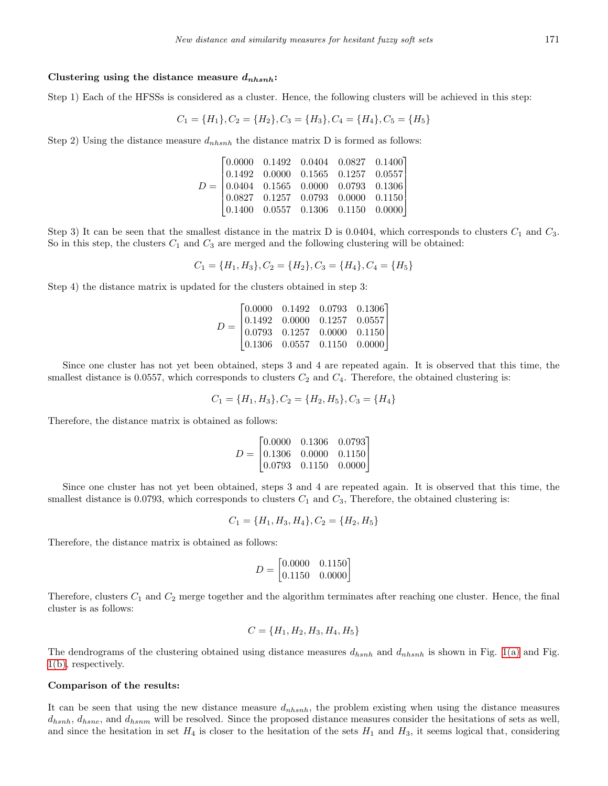#### **Clustering using the distance measure** *dnhsnh***:**

Step 1) Each of the HFSSs is considered as a cluster. Hence, the following clusters will be achieved in this step:

$$
C_1 = \{H_1\}, C_2 = \{H_2\}, C_3 = \{H_3\}, C_4 = \{H_4\}, C_5 = \{H_5\}
$$

Step 2) Using the distance measure *dnhsnh* the distance matrix D is formed as follows:

$$
D = \begin{bmatrix} 0.0000 & 0.1492 & 0.0404 & 0.0827 & 0.1400 \\ 0.1492 & 0.0000 & 0.1565 & 0.1257 & 0.0557 \\ 0.0404 & 0.1565 & 0.0000 & 0.0793 & 0.1306 \\ 0.0827 & 0.1257 & 0.0793 & 0.0000 & 0.1150 \\ 0.1400 & 0.0557 & 0.1306 & 0.1150 & 0.0000 \end{bmatrix}
$$

Step 3) It can be seen that the smallest distance in the matrix D is 0.0404, which corresponds to clusters  $C_1$  and  $C_3$ . So in this step, the clusters *C*<sup>1</sup> and *C*<sup>3</sup> are merged and the following clustering will be obtained:

$$
C_1 = \{H_1, H_3\}, C_2 = \{H_2\}, C_3 = \{H_4\}, C_4 = \{H_5\}
$$

Step 4) the distance matrix is updated for the clusters obtained in step 3:

$$
D = \begin{bmatrix} 0.0000 & 0.1492 & 0.0793 & 0.1306 \\ 0.1492 & 0.0000 & 0.1257 & 0.0557 \\ 0.0793 & 0.1257 & 0.0000 & 0.1150 \\ 0.1306 & 0.0557 & 0.1150 & 0.0000 \end{bmatrix}
$$

Since one cluster has not yet been obtained, steps 3 and 4 are repeated again. It is observed that this time, the smallest distance is 0.0557, which corresponds to clusters  $C_2$  and  $C_4$ . Therefore, the obtained clustering is:

$$
C_1 = \{H_1, H_3\}, C_2 = \{H_2, H_5\}, C_3 = \{H_4\}
$$

Therefore, the distance matrix is obtained as follows:

$$
D = \begin{bmatrix} 0.0000 & 0.1306 & 0.0793 \\ 0.1306 & 0.0000 & 0.1150 \\ 0.0793 & 0.1150 & 0.0000 \end{bmatrix}
$$

Since one cluster has not yet been obtained, steps 3 and 4 are repeated again. It is observed that this time, the smallest distance is 0.0793, which corresponds to clusters  $C_1$  and  $C_3$ , Therefore, the obtained clustering is:

$$
C_1 = \{H_1, H_3, H_4\}, C_2 = \{H_2, H_5\}
$$

Therefore, the distance matrix is obtained as follows:

$$
D = \begin{bmatrix} 0.0000 & 0.1150 \\ 0.1150 & 0.0000 \end{bmatrix}
$$

Therefore, clusters *C*<sup>1</sup> and *C*<sup>2</sup> merge together and the algorithm terminates after reaching one cluster. Hence, the final cluster is as follows:

$$
C = \{H_1, H_2, H_3, H_4, H_5\}
$$

The dendrograms of the clustering obtained using distance measures *dhsnh* and *dnhsnh* is shown in Fig. [1\(a\)](#page-13-0) and Fig. [1\(b\)](#page-13-1), respectively.

#### **Comparison of the results:**

It can be seen that using the new distance measure *dnhsnh*, the problem existing when using the distance measures *dhsnh*, *dhsne*, and *dhsnm* will be resolved. Since the proposed distance measures consider the hesitations of sets as well, and since the hesitation in set  $H_4$  is closer to the hesitation of the sets  $H_1$  and  $H_3$ , it seems logical that, considering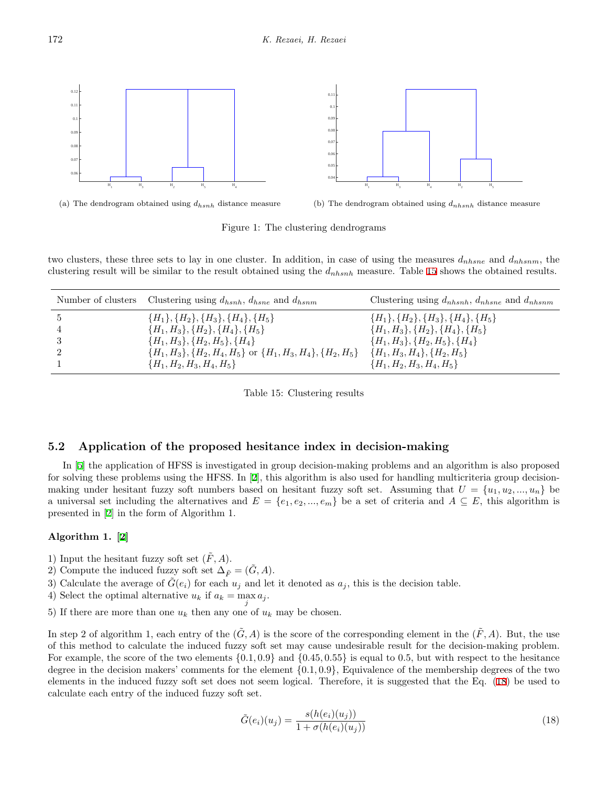<span id="page-13-0"></span>

(a) The dendrogram obtained using *dhsnh* distance measure

<span id="page-13-1"></span>

Figure 1: The clustering dendrograms

two clusters, these three sets to lay in one cluster. In addition, in case of using the measures *dnhsne* and *dnhsnm*, the clustering result will be similar to the result obtained using the *dnhsnh* measure. Table [15](#page-13-2) shows the obtained results.

<span id="page-13-2"></span>

| Number of clusters | Clustering using $d_{hsnh}$ , $d_{hsne}$ and $d_{hsnm}$                  | Clustering using $d_{n h s n h}$ , $d_{n h s n e}$ and $d_{n h s n m}$   |
|--------------------|--------------------------------------------------------------------------|--------------------------------------------------------------------------|
|                    | ${H_1}, {H_2}, {H_3}, {H_4}, {H_5}$<br>${H_1, H_3}, {H_2}, {H_4}, {H_5}$ | ${H_1}, {H_2}, {H_3}, {H_4}, {H_5}$<br>${H_1, H_3}, {H_2}, {H_4}, {H_5}$ |
|                    | ${H_1, H_3}, {H_2, H_5}, {H_4}$                                          | ${H_1, H_3}, {H_2, H_5}, {H_4}$                                          |
|                    | $\{H_1, H_3\}, \{H_2, H_4, H_5\}$ or $\{H_1, H_3, H_4\}, \{H_2, H_5\}$   | $\{H_1, H_3, H_4\}, \{H_2, H_5\}$                                        |
|                    | ${H_1, H_2, H_3, H_4, H_5}$                                              | ${H_1, H_2, H_3, H_4, H_5}$                                              |

Table 15: Clustering results

### **5.2 Application of the proposed hesitance index in decision-making**

In [\[5](#page-15-4)] the application of HFSS is investigated in group decision-making problems and an algorithm is also proposed for solving these problems using the HFSS. In [[2\]](#page-15-9), this algorithm is also used for handling multicriteria group decisionmaking under hesitant fuzzy soft numbers based on hesitant fuzzy soft set. Assuming that  $U = \{u_1, u_2, ..., u_n\}$  be a universal set including the alternatives and  $E = \{e_1, e_2, ..., e_m\}$  be a set of criteria and  $A \subseteq E$ , this algorithm is presented in [\[2](#page-15-9)] in the form of Algorithm 1.

#### **Algorithm 1. [[2](#page-15-9)]**

- 1) Input the hesitant fuzzy soft set  $(\tilde{F}, A)$ .
- 2) Compute the induced fuzzy soft set  $\Delta_{\tilde{F}} = (G, A)$ .
- 3) Calculate the average of  $\tilde{G}(e_i)$  for each  $u_j$  and let it denoted as  $a_j$ , this is the decision table.
- 4) Select the optimal alternative  $u_k$  if  $a_k = \max_j a_j$ .

5) If there are more than one  $u_k$  then any one of  $u_k$  may be chosen.

In step 2 of algorithm 1, each entry of the  $(\tilde{G}, A)$  is the score of the corresponding element in the  $(\tilde{F}, A)$ . But, the use of this method to calculate the induced fuzzy soft set may cause undesirable result for the decision-making problem. For example, the score of the two elements *{*0*.*1*,* 0*.*9*}* and *{*0*.*45*,* 0*.*55*}* is equal to 0*.*5, but with respect to the hesitance degree in the decision makers' comments for the element *{*0*.*1*,* 0*.*9*}*, Equivalence of the membership degrees of the two elements in the induced fuzzy soft set does not seem logical. Therefore, it is suggested that the Eq. ([18](#page-13-3)) be used to calculate each entry of the induced fuzzy soft set.

<span id="page-13-3"></span>
$$
\tilde{G}(e_i)(u_j) = \frac{s(h(e_i)(u_j))}{1 + \sigma(h(e_i)(u_j))}
$$
\n(18)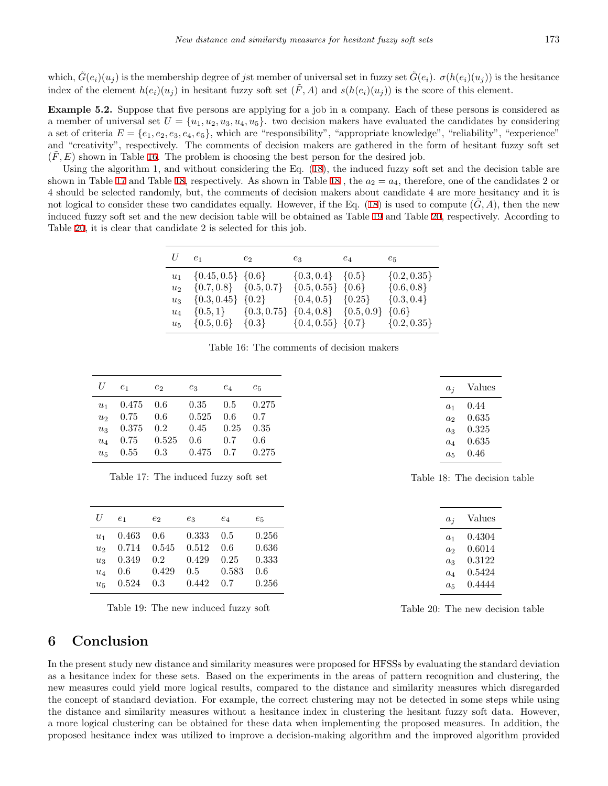which,  $\tilde{G}(e_i)(u_i)$  is the membership degree of jst member of universal set in fuzzy set  $\tilde{G}(e_i)$ .  $\sigma(h(e_i)(u_i))$  is the hesitance index of the element  $h(e_i)(u_i)$  in hesitant fuzzy soft set  $(\tilde{F}, A)$  and  $s(h(e_i)(u_i))$  is the score of this element.

**Example 5.2.** Suppose that five persons are applying for a job in a company. Each of these persons is considered as a member of universal set  $U = \{u_1, u_2, u_3, u_4, u_5\}$ . two decision makers have evaluated the candidates by considering a set of criteria  $E = \{e_1, e_2, e_3, e_4, e_5\}$ , which are "responsibility", "appropriate knowledge", "reliability", "experience" and "creativity", respectively. The comments of decision makers are gathered in the form of hesitant fuzzy soft set  $(F, E)$  shown in Table [16.](#page-14-1) The problem is choosing the best person for the desired job.

Using the algorithm 1, and without considering the Eq. ([18](#page-13-3)), the induced fuzzy soft set and the decision table are shown in Table [17](#page-14-2) and Table [18](#page-14-3), respectively. As shown in Table 18, the  $a_2 = a_4$ , therefore, one of the candidates 2 or 4 should be selected randomly, but, the comments of decision makers about candidate 4 are more hesitancy and it is not logical to consider these two candidates equally. However, if the Eq.  $(18)$  $(18)$  is used to compute  $(G, A)$ , then the new induced fuzzy soft set and the new decision table will be obtained as Table [19](#page-14-4) and Table [20,](#page-14-5) respectively. According to Table [20,](#page-14-5) it is clear that candidate 2 is selected for this job.

| $U \quad e_1$  |                                                                                              | $e_2$ | $e_3$                     | $e_4$ | $e_5$           |
|----------------|----------------------------------------------------------------------------------------------|-------|---------------------------|-------|-----------------|
|                | $u_1 \quad \{0.45, 0.5\} \quad \{0.6\}$                                                      |       | $\{0.3, 0.4\}$ $\{0.5\}$  |       | $\{0.2, 0.35\}$ |
| u <sub>2</sub> | $\{0.7, 0.8\}$ $\{0.5, 0.7\}$ $\{0.5, 0.55\}$ $\{0.6\}$                                      |       |                           |       | $\{0.6, 0.8\}$  |
|                | $u_3 \quad \{0.3, 0.45\} \quad \{0.2\}$                                                      |       | $\{0.4, 0.5\}$ $\{0.25\}$ |       | $\{0.3, 0.4\}$  |
| $u_4$          | $\{0.5, 1\}$ $\{0.3, 0.75\}$ $\{0.4, 0.8\}$ $\{0.5, 0.9\}$                                   |       |                           |       | $\{0.6\}$       |
|                | $u_5 \quad \{0.5, 0.6\} \quad \{0.3\} \quad \{0.4, 0.55\} \quad \{0.7\} \quad \{0.2, 0.35\}$ |       |                           |       |                 |

<span id="page-14-2"></span>Table 16: The comments of decision makers

| U                       | e <sub>1</sub> | e <sub>2</sub> | $e_3$    | $e_4$ | $e_{5}$ |
|-------------------------|----------------|----------------|----------|-------|---------|
| $u_1$                   | 0.475          | 0.6            | $0.35\,$ | 0.5   | 0.275   |
|                         | 0.75           | 0.6            | 0.525    | 0.6   | 0.7     |
| u <sub>2</sub><br>$u_3$ | 0.375          | 0.2            | 0.45     | 0.25  | 0.35    |
| $u_4$                   | 0.75           | 0.525          | 0.6      | 0.7   | 0.6     |
| $u_{\overline{z}}$      | 0.55           | 0.3            | 0.475    | 0.7   | 0.275   |

| Table 17: The induced fuzzy soft set |  |  |  |  |  |  |  |
|--------------------------------------|--|--|--|--|--|--|--|
|--------------------------------------|--|--|--|--|--|--|--|

| U                                                           | e <sub>1</sub>                                    | $e_2$                      | $e_3$                                   | $e_4$                              | $e_5$                                   |
|-------------------------------------------------------------|---------------------------------------------------|----------------------------|-----------------------------------------|------------------------------------|-----------------------------------------|
| $u_1$<br>$u_2$<br>u <sub>3</sub><br>$u_4$<br>u <sub>5</sub> | 0.463<br>$0.714$ $0.545$<br>0.349<br>0.6<br>0.524 | 0.6<br>0.2<br>0.429<br>0.3 | 0.333<br>0.512<br>0.429<br>0.5<br>0.442 | 0.5<br>0.6<br>0.25<br>0.583<br>0.7 | 0.256<br>0.636<br>0.333<br>0.6<br>0.256 |

Table 19: The new induced fuzzy soft

## <span id="page-14-3"></span><span id="page-14-1"></span>*a<sup>j</sup>* Values *a*<sup>1</sup> 0*.*44 *a*<sup>2</sup> 0*.*635 *a*<sup>3</sup> 0*.*325 *a*<sup>4</sup> 0*.*635 *a*<sup>5</sup> 0*.*46

Table 18: The decision table

<span id="page-14-5"></span>

| $a_i$   | Values       |
|---------|--------------|
| $a_1$   | 0.4304       |
| $a_2$   | 0.6014       |
| $a_3$   | $\rm 0.3122$ |
| $a_4$   | 0.5424       |
| $a_{5}$ | 0.4444       |
|         |              |

<span id="page-14-4"></span>Table 20: The new decision table

## <span id="page-14-0"></span>**6 Conclusion**

In the present study new distance and similarity measures were proposed for HFSSs by evaluating the standard deviation as a hesitance index for these sets. Based on the experiments in the areas of pattern recognition and clustering, the new measures could yield more logical results, compared to the distance and similarity measures which disregarded the concept of standard deviation. For example, the correct clustering may not be detected in some steps while using the distance and similarity measures without a hesitance index in clustering the hesitant fuzzy soft data. However, a more logical clustering can be obtained for these data when implementing the proposed measures. In addition, the proposed hesitance index was utilized to improve a decision-making algorithm and the improved algorithm provided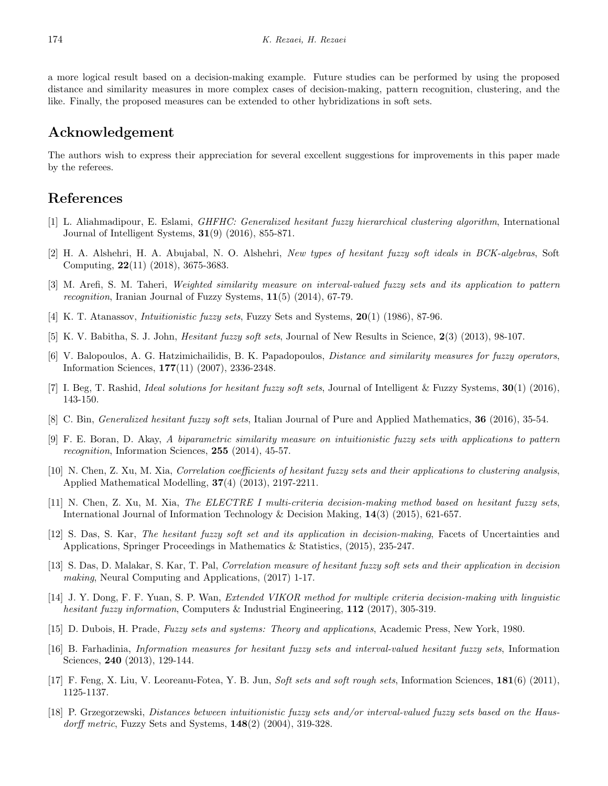a more logical result based on a decision-making example. Future studies can be performed by using the proposed distance and similarity measures in more complex cases of decision-making, pattern recognition, clustering, and the like. Finally, the proposed measures can be extended to other hybridizations in soft sets.

## **Acknowledgement**

The authors wish to express their appreciation for several excellent suggestions for improvements in this paper made by the referees.

## **References**

- <span id="page-15-16"></span>[1] L. Aliahmadipour, E. Eslami, *GHFHC: Generalized hesitant fuzzy hierarchical clustering algorithm*, International Journal of Intelligent Systems, **31**(9) (2016), 855-871.
- <span id="page-15-9"></span>[2] H. A. Alshehri, H. A. Abujabal, N. O. Alshehri, *New types of hesitant fuzzy soft ideals in BCK-algebras*, Soft Computing, **22**(11) (2018), 3675-3683.
- <span id="page-15-11"></span>[3] M. Arefi, S. M. Taheri, *Weighted similarity measure on interval-valued fuzzy sets and its application to pattern recognition*, Iranian Journal of Fuzzy Systems, **11**(5) (2014), 67-79.
- <span id="page-15-1"></span>[4] K. T. Atanassov, *Intuitionistic fuzzy sets*, Fuzzy Sets and Systems, **20**(1) (1986), 87-96.
- <span id="page-15-4"></span>[5] K. V. Babitha, S. J. John, *Hesitant fuzzy soft sets*, Journal of New Results in Science, **2**(3) (2013), 98-107.
- <span id="page-15-10"></span>[6] V. Balopoulos, A. G. Hatzimichailidis, B. K. Papadopoulos, *Distance and similarity measures for fuzzy operators*, Information Sciences, **177**(11) (2007), 2336-2348.
- <span id="page-15-7"></span>[7] I. Beg, T. Rashid, *Ideal solutions for hesitant fuzzy soft sets*, Journal of Intelligent & Fuzzy Systems, **30**(1) (2016), 143-150.
- <span id="page-15-6"></span>[8] C. Bin, *Generalized hesitant fuzzy soft sets*, Italian Journal of Pure and Applied Mathematics, **36** (2016), 35-54.
- <span id="page-15-13"></span>[9] F. E. Boran, D. Akay, *A biparametric similarity measure on intuitionistic fuzzy sets with applications to pattern recognition*, Information Sciences, **255** (2014), 45-57.
- <span id="page-15-15"></span>[10] N. Chen, Z. Xu, M. Xia, *Correlation coefficients of hesitant fuzzy sets and their applications to clustering analysis*, Applied Mathematical Modelling, **37**(4) (2013), 2197-2211.
- <span id="page-15-17"></span>[11] N. Chen, Z. Xu, M. Xia, *The ELECTRE I multi-criteria decision-making method based on hesitant fuzzy sets*, International Journal of Information Technology & Decision Making, **14**(3) (2015), 621-657.
- <span id="page-15-5"></span>[12] S. Das, S. Kar, *The hesitant fuzzy soft set and its application in decision-making*, Facets of Uncertainties and Applications, Springer Proceedings in Mathematics & Statistics, (2015), 235-247.
- <span id="page-15-8"></span>[13] S. Das, D. Malakar, S. Kar, T. Pal, *Correlation measure of hesitant fuzzy soft sets and their application in decision making*, Neural Computing and Applications, (2017) 1-17.
- <span id="page-15-2"></span>[14] J. Y. Dong, F. F. Yuan, S. P. Wan, *Extended VIKOR method for multiple criteria decision-making with linguistic hesitant fuzzy information*, Computers & Industrial Engineering, **112** (2017), 305-319.
- <span id="page-15-0"></span>[15] D. Dubois, H. Prade, *Fuzzy sets and systems: Theory and applications*, Academic Press, New York, 1980.
- <span id="page-15-14"></span>[16] B. Farhadinia, *Information measures for hesitant fuzzy sets and interval-valued hesitant fuzzy sets*, Information Sciences, **240** (2013), 129-144.
- <span id="page-15-3"></span>[17] F. Feng, X. Liu, V. Leoreanu-Fotea, Y. B. Jun, *Soft sets and soft rough sets*, Information Sciences, **181**(6) (2011), 1125-1137.
- <span id="page-15-12"></span>[18] P. Grzegorzewski, *Distances between intuitionistic fuzzy sets and/or interval-valued fuzzy sets based on the Hausdorff metric*, Fuzzy Sets and Systems, **148**(2) (2004), 319-328.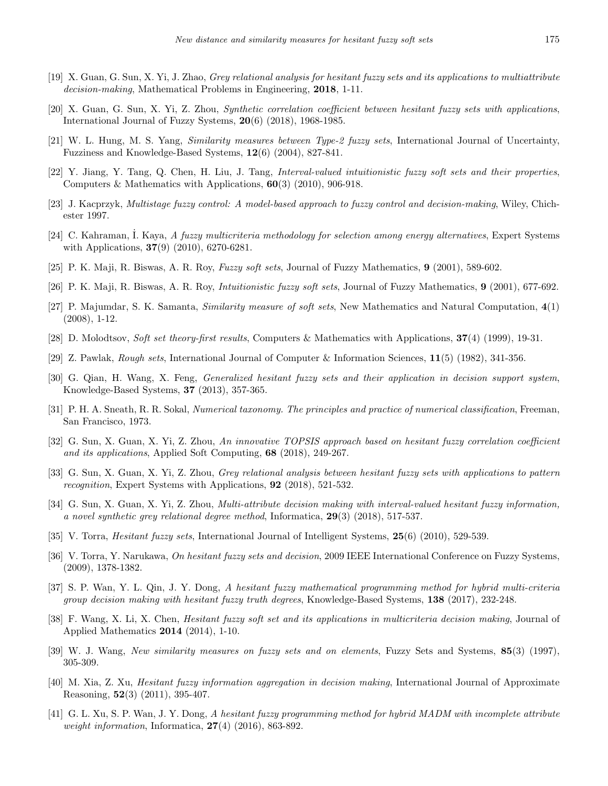- <span id="page-16-7"></span>[19] X. Guan, G. Sun, X. Yi, J. Zhao, *Grey relational analysis for hesitant fuzzy sets and its applications to multiattribute decision-making*, Mathematical Problems in Engineering, **2018**, 1-11.
- <span id="page-16-5"></span>[20] X. Guan, G. Sun, X. Yi, Z. Zhou, *Synthetic correlation coefficient between hesitant fuzzy sets with applications*, International Journal of Fuzzy Systems, **20**(6) (2018), 1968-1985.
- <span id="page-16-17"></span>[21] W. L. Hung, M. S. Yang, *Similarity measures between Type-2 fuzzy sets*, International Journal of Uncertainty, Fuzziness and Knowledge-Based Systems, **12**(6) (2004), 827-841.
- <span id="page-16-12"></span>[22] Y. Jiang, Y. Tang, Q. Chen, H. Liu, J. Tang, *Interval-valued intuitionistic fuzzy soft sets and their properties*, Computers & Mathematics with Applications, **60**(3) (2010), 906-918.
- <span id="page-16-15"></span>[23] J. Kacprzyk, *Multistage fuzzy control: A model-based approach to fuzzy control and decision-making*, Wiley, Chichester 1997.
- <span id="page-16-22"></span>[24] C. Kahraman, ˙I. Kaya, *A fuzzy multicriteria methodology for selection among energy alternatives*, Expert Systems with Applications, **37**(9) (2010), 6270-6281.
- <span id="page-16-10"></span>[25] P. K. Maji, R. Biswas, A. R. Roy, *Fuzzy soft sets*, Journal of Fuzzy Mathematics, **9** (2001), 589-602.
- <span id="page-16-11"></span>[26] P. K. Maji, R. Biswas, A. R. Roy, *Intuitionistic fuzzy soft sets*, Journal of Fuzzy Mathematics, **9** (2001), 677-692.
- <span id="page-16-18"></span>[27] P. Majumdar, S. K. Samanta, *Similarity measure of soft sets*, New Mathematics and Natural Computation, **4**(1) (2008), 1-12.
- <span id="page-16-9"></span>[28] D. Molodtsov, *Soft set theory-first results*, Computers & Mathematics with Applications, **37**(4) (1999), 19-31.
- <span id="page-16-13"></span>[29] Z. Pawlak, *Rough sets*, International Journal of Computer & Information Sciences, **11**(5) (1982), 341-356.
- <span id="page-16-19"></span>[30] G. Qian, H. Wang, X. Feng, *Generalized hesitant fuzzy sets and their application in decision support system*, Knowledge-Based Systems, **37** (2013), 357-365.
- <span id="page-16-20"></span>[31] P. H. A. Sneath, R. R. Sokal, *Numerical taxonomy. The principles and practice of numerical classification*, Freeman, San Francisco, 1973.
- <span id="page-16-4"></span>[32] G. Sun, X. Guan, X. Yi, Z. Zhou, *An innovative TOPSIS approach based on hesitant fuzzy correlation coefficient and its applications*, Applied Soft Computing, **68** (2018), 249-267.
- <span id="page-16-6"></span>[33] G. Sun, X. Guan, X. Yi, Z. Zhou, *Grey relational analysis between hesitant fuzzy sets with applications to pattern recognition*, Expert Systems with Applications, **92** (2018), 521-532.
- <span id="page-16-8"></span>[34] G. Sun, X. Guan, X. Yi, Z. Zhou, *Multi-attribute decision making with interval-valued hesitant fuzzy information, a novel synthetic grey relational degree method*, Informatica, **29**(3) (2018), 517-537.
- <span id="page-16-1"></span>[35] V. Torra, *Hesitant fuzzy sets*, International Journal of Intelligent Systems, **25**(6) (2010), 529-539.
- <span id="page-16-0"></span>[36] V. Torra, Y. Narukawa, *On hesitant fuzzy sets and decision*, 2009 IEEE International Conference on Fuzzy Systems, (2009), 1378-1382.
- <span id="page-16-3"></span>[37] S. P. Wan, Y. L. Qin, J. Y. Dong, *A hesitant fuzzy mathematical programming method for hybrid multi-criteria group decision making with hesitant fuzzy truth degrees*, Knowledge-Based Systems, **138** (2017), 232-248.
- <span id="page-16-14"></span>[38] F. Wang, X. Li, X. Chen, *Hesitant fuzzy soft set and its applications in multicriteria decision making*, Journal of Applied Mathematics **2014** (2014), 1-10.
- <span id="page-16-16"></span>[39] W. J. Wang, *New similarity measures on fuzzy sets and on elements*, Fuzzy Sets and Systems, **85**(3) (1997), 305-309.
- <span id="page-16-21"></span>[40] M. Xia, Z. Xu, *Hesitant fuzzy information aggregation in decision making*, International Journal of Approximate Reasoning, **52**(3) (2011), 395-407.
- <span id="page-16-2"></span>[41] G. L. Xu, S. P. Wan, J. Y. Dong, *A hesitant fuzzy programming method for hybrid MADM with incomplete attribute weight information*, Informatica, **27**(4) (2016), 863-892.